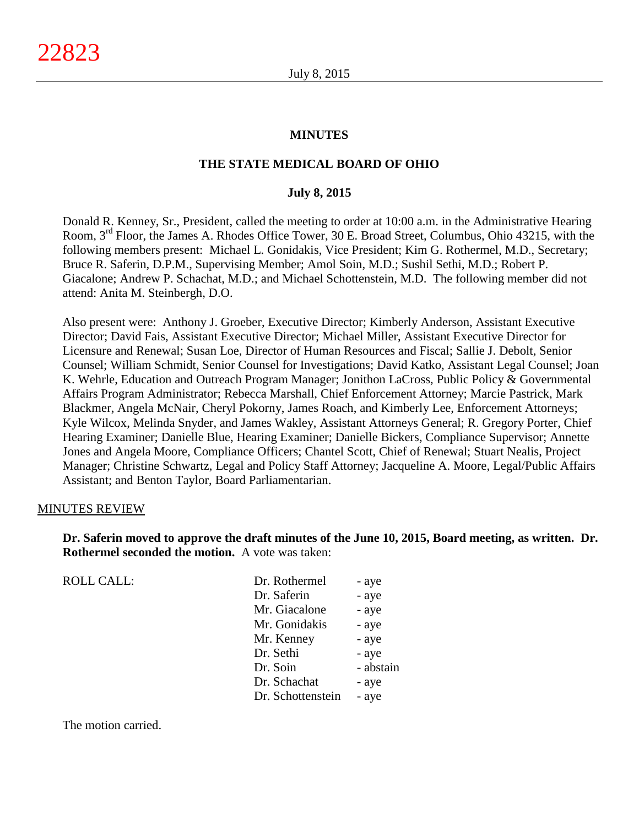#### **MINUTES**

## **THE STATE MEDICAL BOARD OF OHIO**

#### **July 8, 2015**

Donald R. Kenney, Sr., President, called the meeting to order at 10:00 a.m. in the Administrative Hearing Room, 3rd Floor, the James A. Rhodes Office Tower, 30 E. Broad Street, Columbus, Ohio 43215, with the following members present: Michael L. Gonidakis, Vice President; Kim G. Rothermel, M.D., Secretary; Bruce R. Saferin, D.P.M., Supervising Member; Amol Soin, M.D.; Sushil Sethi, M.D.; Robert P. Giacalone; Andrew P. Schachat, M.D.; and Michael Schottenstein, M.D. The following member did not attend: Anita M. Steinbergh, D.O.

Also present were: Anthony J. Groeber, Executive Director; Kimberly Anderson, Assistant Executive Director; David Fais, Assistant Executive Director; Michael Miller, Assistant Executive Director for Licensure and Renewal; Susan Loe, Director of Human Resources and Fiscal; Sallie J. Debolt, Senior Counsel; William Schmidt, Senior Counsel for Investigations; David Katko, Assistant Legal Counsel; Joan K. Wehrle, Education and Outreach Program Manager; Jonithon LaCross, Public Policy & Governmental Affairs Program Administrator; Rebecca Marshall, Chief Enforcement Attorney; Marcie Pastrick, Mark Blackmer, Angela McNair, Cheryl Pokorny, James Roach, and Kimberly Lee, Enforcement Attorneys; Kyle Wilcox, Melinda Snyder, and James Wakley, Assistant Attorneys General; R. Gregory Porter, Chief Hearing Examiner; Danielle Blue, Hearing Examiner; Danielle Bickers, Compliance Supervisor; Annette Jones and Angela Moore, Compliance Officers; Chantel Scott, Chief of Renewal; Stuart Nealis, Project Manager; Christine Schwartz, Legal and Policy Staff Attorney; Jacqueline A. Moore, Legal/Public Affairs Assistant; and Benton Taylor, Board Parliamentarian.

#### MINUTES REVIEW

**Dr. Saferin moved to approve the draft minutes of the June 10, 2015, Board meeting, as written. Dr. Rothermel seconded the motion.** A vote was taken:

| <b>ROLL CALL:</b> | Dr. Rothermel     | - aye     |
|-------------------|-------------------|-----------|
|                   | Dr. Saferin       | - aye     |
|                   | Mr. Giacalone     | - aye     |
|                   | Mr. Gonidakis     | - aye     |
|                   | Mr. Kenney        | - aye     |
|                   | Dr. Sethi         | - aye     |
|                   | Dr. Soin          | - abstain |
|                   | Dr. Schachat      | - aye     |
|                   | Dr. Schottenstein | - aye     |
|                   |                   |           |

The motion carried.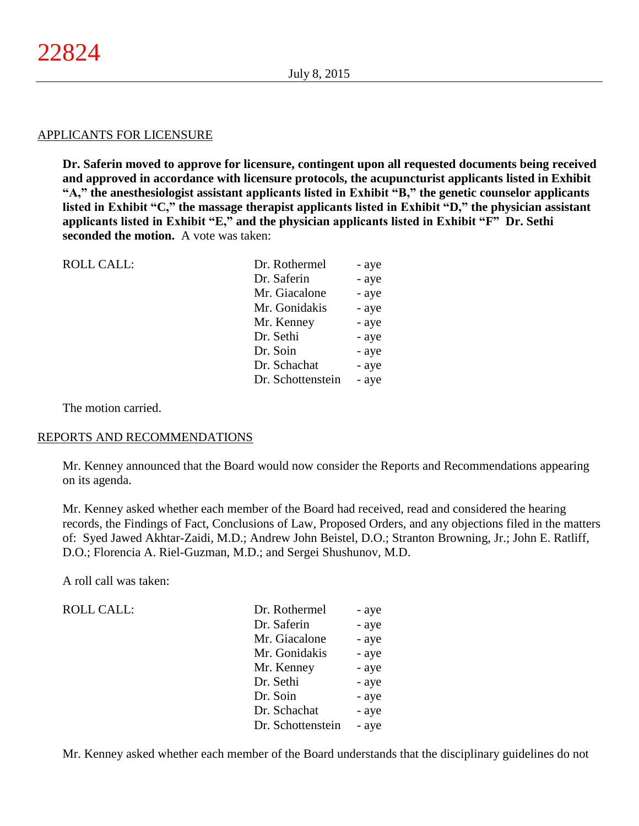#### APPLICANTS FOR LICENSURE

**Dr. Saferin moved to approve for licensure, contingent upon all requested documents being received and approved in accordance with licensure protocols, the acupuncturist applicants listed in Exhibit "A," the anesthesiologist assistant applicants listed in Exhibit "B," the genetic counselor applicants listed in Exhibit "C," the massage therapist applicants listed in Exhibit "D," the physician assistant applicants listed in Exhibit "E," and the physician applicants listed in Exhibit "F" Dr. Sethi seconded the motion.** A vote was taken:

| <b>ROLL CALL:</b> | Dr. Rothermel     | - aye |
|-------------------|-------------------|-------|
|                   | Dr. Saferin       | - aye |
|                   | Mr. Giacalone     | - aye |
|                   | Mr. Gonidakis     | - aye |
|                   | Mr. Kenney        | - aye |
|                   | Dr. Sethi         | - aye |
|                   | Dr. Soin          | - aye |
|                   | Dr. Schachat      | - aye |
|                   | Dr. Schottenstein | - aye |
|                   |                   |       |

The motion carried.

## REPORTS AND RECOMMENDATIONS

Mr. Kenney announced that the Board would now consider the Reports and Recommendations appearing on its agenda.

Mr. Kenney asked whether each member of the Board had received, read and considered the hearing records, the Findings of Fact, Conclusions of Law, Proposed Orders, and any objections filed in the matters of: Syed Jawed Akhtar-Zaidi, M.D.; Andrew John Beistel, D.O.; Stranton Browning, Jr.; John E. Ratliff, D.O.; Florencia A. Riel-Guzman, M.D.; and Sergei Shushunov, M.D.

A roll call was taken:

 $ROLL CALL$ :

| Dr. Rothermel     | - aye |
|-------------------|-------|
| Dr. Saferin       | - aye |
| Mr. Giacalone     | - aye |
| Mr. Gonidakis     | - aye |
| Mr. Kenney        | - aye |
| Dr. Sethi         | - aye |
| Dr. Soin          | - aye |
| Dr. Schachat      | - aye |
| Dr. Schottenstein | - aye |

Mr. Kenney asked whether each member of the Board understands that the disciplinary guidelines do not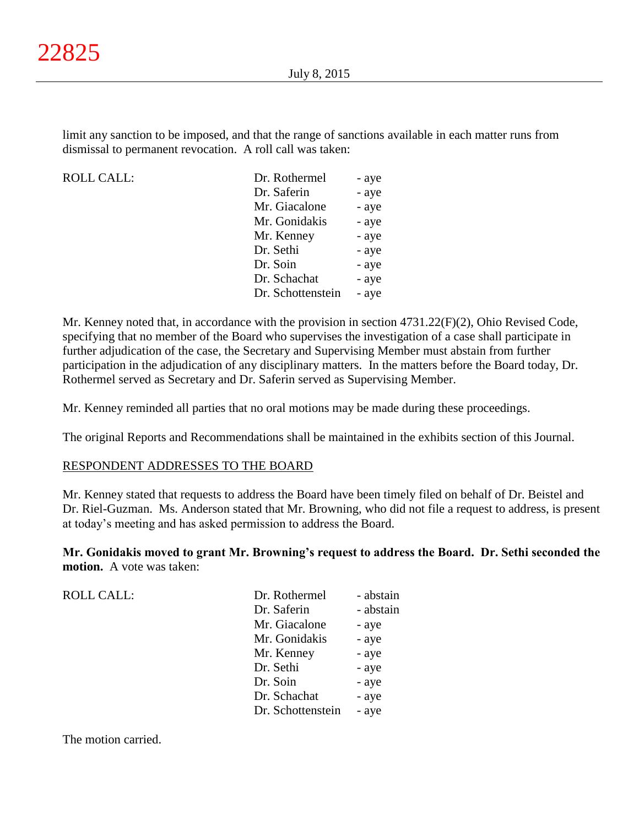limit any sanction to be imposed, and that the range of sanctions available in each matter runs from dismissal to permanent revocation. A roll call was taken:

ROLL CALL:

| Dr. Rothermel     | - aye |
|-------------------|-------|
| Dr. Saferin       | - aye |
| Mr. Giacalone     | - aye |
| Mr. Gonidakis     | - aye |
| Mr. Kenney        | - aye |
| Dr. Sethi         | - aye |
| Dr. Soin          | - aye |
| Dr. Schachat      | - aye |
| Dr. Schottenstein | - aye |
|                   |       |

Mr. Kenney noted that, in accordance with the provision in section 4731.22(F)(2), Ohio Revised Code, specifying that no member of the Board who supervises the investigation of a case shall participate in further adjudication of the case, the Secretary and Supervising Member must abstain from further participation in the adjudication of any disciplinary matters. In the matters before the Board today, Dr. Rothermel served as Secretary and Dr. Saferin served as Supervising Member.

Mr. Kenney reminded all parties that no oral motions may be made during these proceedings.

The original Reports and Recommendations shall be maintained in the exhibits section of this Journal.

## RESPONDENT ADDRESSES TO THE BOARD

Mr. Kenney stated that requests to address the Board have been timely filed on behalf of Dr. Beistel and Dr. Riel-Guzman. Ms. Anderson stated that Mr. Browning, who did not file a request to address, is present at today's meeting and has asked permission to address the Board.

**Mr. Gonidakis moved to grant Mr. Browning's request to address the Board. Dr. Sethi seconded the motion.** A vote was taken:

ROLL CALL:

| Dr. Rothermel     | - abstain |
|-------------------|-----------|
| Dr. Saferin       | - abstain |
| Mr. Giacalone     | - aye     |
| Mr. Gonidakis     | - aye     |
| Mr. Kenney        | - aye     |
| Dr. Sethi         | - aye     |
| Dr. Soin          | - aye     |
| Dr. Schachat      | - aye     |
| Dr. Schottenstein | - aye     |
|                   |           |

The motion carried.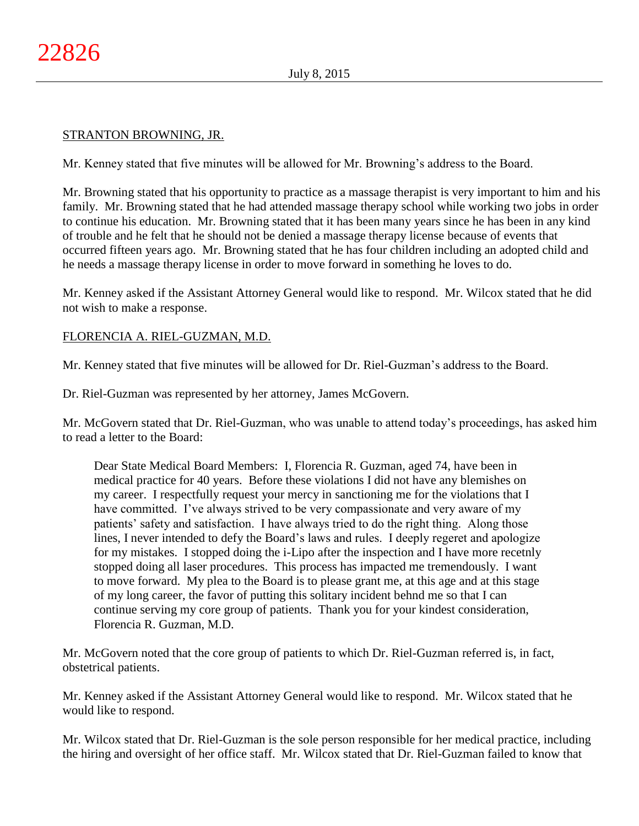# STRANTON BROWNING, JR.

Mr. Kenney stated that five minutes will be allowed for Mr. Browning's address to the Board.

Mr. Browning stated that his opportunity to practice as a massage therapist is very important to him and his family. Mr. Browning stated that he had attended massage therapy school while working two jobs in order to continue his education. Mr. Browning stated that it has been many years since he has been in any kind of trouble and he felt that he should not be denied a massage therapy license because of events that occurred fifteen years ago. Mr. Browning stated that he has four children including an adopted child and he needs a massage therapy license in order to move forward in something he loves to do.

Mr. Kenney asked if the Assistant Attorney General would like to respond. Mr. Wilcox stated that he did not wish to make a response.

# FLORENCIA A. RIEL-GUZMAN, M.D.

Mr. Kenney stated that five minutes will be allowed for Dr. Riel-Guzman's address to the Board.

Dr. Riel-Guzman was represented by her attorney, James McGovern.

Mr. McGovern stated that Dr. Riel-Guzman, who was unable to attend today's proceedings, has asked him to read a letter to the Board:

Dear State Medical Board Members: I, Florencia R. Guzman, aged 74, have been in medical practice for 40 years. Before these violations I did not have any blemishes on my career. I respectfully request your mercy in sanctioning me for the violations that I have committed. I've always strived to be very compassionate and very aware of my patients' safety and satisfaction. I have always tried to do the right thing. Along those lines, I never intended to defy the Board's laws and rules. I deeply regeret and apologize for my mistakes. I stopped doing the i-Lipo after the inspection and I have more recetnly stopped doing all laser procedures. This process has impacted me tremendously. I want to move forward. My plea to the Board is to please grant me, at this age and at this stage of my long career, the favor of putting this solitary incident behnd me so that I can continue serving my core group of patients. Thank you for your kindest consideration, Florencia R. Guzman, M.D.

Mr. McGovern noted that the core group of patients to which Dr. Riel-Guzman referred is, in fact, obstetrical patients.

Mr. Kenney asked if the Assistant Attorney General would like to respond. Mr. Wilcox stated that he would like to respond.

Mr. Wilcox stated that Dr. Riel-Guzman is the sole person responsible for her medical practice, including the hiring and oversight of her office staff. Mr. Wilcox stated that Dr. Riel-Guzman failed to know that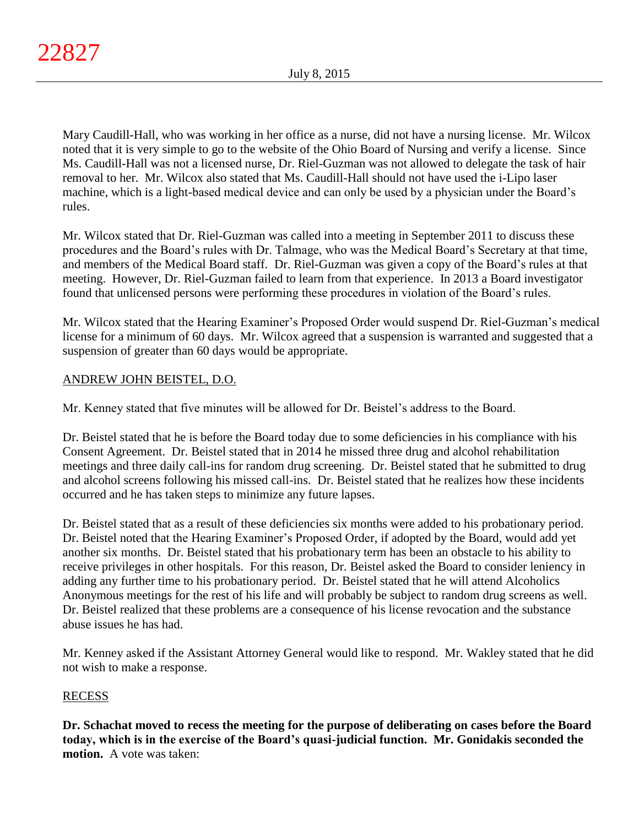Mary Caudill-Hall, who was working in her office as a nurse, did not have a nursing license. Mr. Wilcox noted that it is very simple to go to the website of the Ohio Board of Nursing and verify a license. Since Ms. Caudill-Hall was not a licensed nurse, Dr. Riel-Guzman was not allowed to delegate the task of hair removal to her. Mr. Wilcox also stated that Ms. Caudill-Hall should not have used the i-Lipo laser machine, which is a light-based medical device and can only be used by a physician under the Board's rules.

Mr. Wilcox stated that Dr. Riel-Guzman was called into a meeting in September 2011 to discuss these procedures and the Board's rules with Dr. Talmage, who was the Medical Board's Secretary at that time, and members of the Medical Board staff. Dr. Riel-Guzman was given a copy of the Board's rules at that meeting. However, Dr. Riel-Guzman failed to learn from that experience. In 2013 a Board investigator found that unlicensed persons were performing these procedures in violation of the Board's rules.

Mr. Wilcox stated that the Hearing Examiner's Proposed Order would suspend Dr. Riel-Guzman's medical license for a minimum of 60 days. Mr. Wilcox agreed that a suspension is warranted and suggested that a suspension of greater than 60 days would be appropriate.

# ANDREW JOHN BEISTEL, D.O.

Mr. Kenney stated that five minutes will be allowed for Dr. Beistel's address to the Board.

Dr. Beistel stated that he is before the Board today due to some deficiencies in his compliance with his Consent Agreement. Dr. Beistel stated that in 2014 he missed three drug and alcohol rehabilitation meetings and three daily call-ins for random drug screening. Dr. Beistel stated that he submitted to drug and alcohol screens following his missed call-ins. Dr. Beistel stated that he realizes how these incidents occurred and he has taken steps to minimize any future lapses.

Dr. Beistel stated that as a result of these deficiencies six months were added to his probationary period. Dr. Beistel noted that the Hearing Examiner's Proposed Order, if adopted by the Board, would add yet another six months. Dr. Beistel stated that his probationary term has been an obstacle to his ability to receive privileges in other hospitals. For this reason, Dr. Beistel asked the Board to consider leniency in adding any further time to his probationary period. Dr. Beistel stated that he will attend Alcoholics Anonymous meetings for the rest of his life and will probably be subject to random drug screens as well. Dr. Beistel realized that these problems are a consequence of his license revocation and the substance abuse issues he has had.

Mr. Kenney asked if the Assistant Attorney General would like to respond. Mr. Wakley stated that he did not wish to make a response.

# RECESS

**Dr. Schachat moved to recess the meeting for the purpose of deliberating on cases before the Board today, which is in the exercise of the Board's quasi-judicial function. Mr. Gonidakis seconded the motion.** A vote was taken: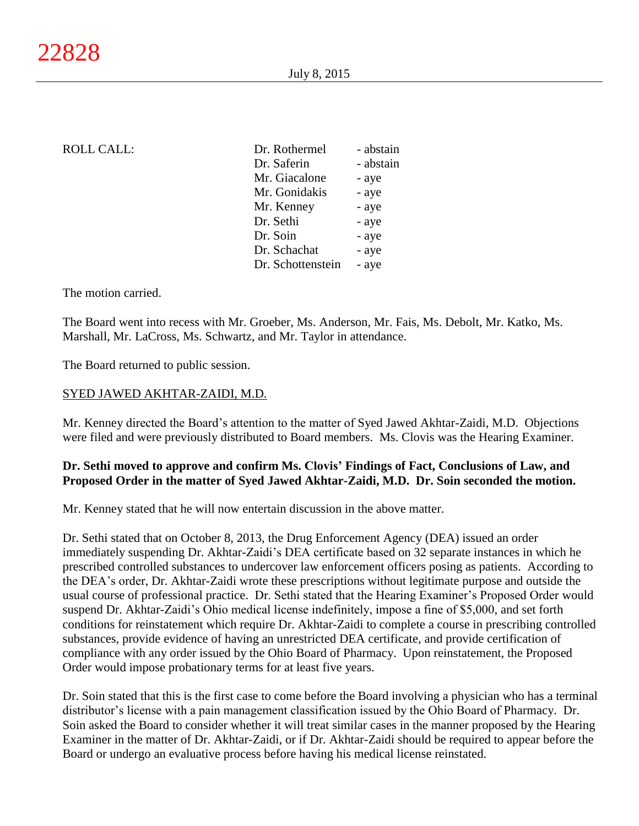| <b>ROLL CALL:</b> | Dr. Rothermel     | - abstain |
|-------------------|-------------------|-----------|
|                   | Dr. Saferin       | - abstain |
|                   | Mr. Giacalone     | - aye     |
|                   | Mr. Gonidakis     | - aye     |
|                   | Mr. Kenney        | - aye     |
|                   | Dr. Sethi         | - aye     |
|                   | Dr. Soin          | - aye     |
|                   | Dr. Schachat      | - aye     |
|                   | Dr. Schottenstein | - aye     |
|                   |                   |           |

The motion carried.

The Board went into recess with Mr. Groeber, Ms. Anderson, Mr. Fais, Ms. Debolt, Mr. Katko, Ms. Marshall, Mr. LaCross, Ms. Schwartz, and Mr. Taylor in attendance.

The Board returned to public session.

## SYED JAWED AKHTAR-ZAIDI, M.D.

Mr. Kenney directed the Board's attention to the matter of Syed Jawed Akhtar-Zaidi, M.D. Objections were filed and were previously distributed to Board members. Ms. Clovis was the Hearing Examiner.

# **Dr. Sethi moved to approve and confirm Ms. Clovis' Findings of Fact, Conclusions of Law, and Proposed Order in the matter of Syed Jawed Akhtar-Zaidi, M.D. Dr. Soin seconded the motion.**

Mr. Kenney stated that he will now entertain discussion in the above matter.

Dr. Sethi stated that on October 8, 2013, the Drug Enforcement Agency (DEA) issued an order immediately suspending Dr. Akhtar-Zaidi's DEA certificate based on 32 separate instances in which he prescribed controlled substances to undercover law enforcement officers posing as patients. According to the DEA's order, Dr. Akhtar-Zaidi wrote these prescriptions without legitimate purpose and outside the usual course of professional practice. Dr. Sethi stated that the Hearing Examiner's Proposed Order would suspend Dr. Akhtar-Zaidi's Ohio medical license indefinitely, impose a fine of \$5,000, and set forth conditions for reinstatement which require Dr. Akhtar-Zaidi to complete a course in prescribing controlled substances, provide evidence of having an unrestricted DEA certificate, and provide certification of compliance with any order issued by the Ohio Board of Pharmacy. Upon reinstatement, the Proposed Order would impose probationary terms for at least five years.

Dr. Soin stated that this is the first case to come before the Board involving a physician who has a terminal distributor's license with a pain management classification issued by the Ohio Board of Pharmacy. Dr. Soin asked the Board to consider whether it will treat similar cases in the manner proposed by the Hearing Examiner in the matter of Dr. Akhtar-Zaidi, or if Dr. Akhtar-Zaidi should be required to appear before the Board or undergo an evaluative process before having his medical license reinstated.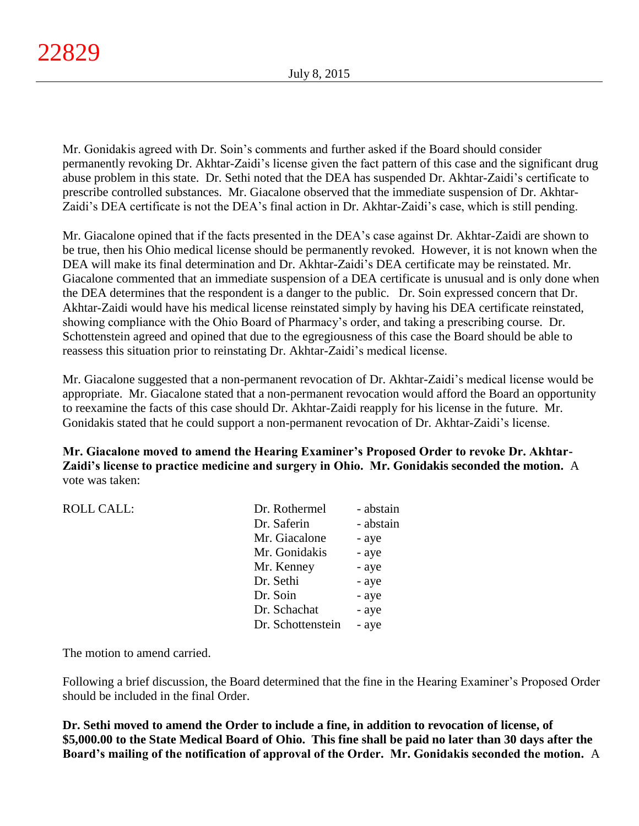Mr. Gonidakis agreed with Dr. Soin's comments and further asked if the Board should consider permanently revoking Dr. Akhtar-Zaidi's license given the fact pattern of this case and the significant drug abuse problem in this state. Dr. Sethi noted that the DEA has suspended Dr. Akhtar-Zaidi's certificate to prescribe controlled substances. Mr. Giacalone observed that the immediate suspension of Dr. Akhtar-Zaidi's DEA certificate is not the DEA's final action in Dr. Akhtar-Zaidi's case, which is still pending.

Mr. Giacalone opined that if the facts presented in the DEA's case against Dr. Akhtar-Zaidi are shown to be true, then his Ohio medical license should be permanently revoked. However, it is not known when the DEA will make its final determination and Dr. Akhtar-Zaidi's DEA certificate may be reinstated. Mr. Giacalone commented that an immediate suspension of a DEA certificate is unusual and is only done when the DEA determines that the respondent is a danger to the public. Dr. Soin expressed concern that Dr. Akhtar-Zaidi would have his medical license reinstated simply by having his DEA certificate reinstated, showing compliance with the Ohio Board of Pharmacy's order, and taking a prescribing course. Dr. Schottenstein agreed and opined that due to the egregiousness of this case the Board should be able to reassess this situation prior to reinstating Dr. Akhtar-Zaidi's medical license.

Mr. Giacalone suggested that a non-permanent revocation of Dr. Akhtar-Zaidi's medical license would be appropriate. Mr. Giacalone stated that a non-permanent revocation would afford the Board an opportunity to reexamine the facts of this case should Dr. Akhtar-Zaidi reapply for his license in the future. Mr. Gonidakis stated that he could support a non-permanent revocation of Dr. Akhtar-Zaidi's license.

**Mr. Giacalone moved to amend the Hearing Examiner's Proposed Order to revoke Dr. Akhtar-Zaidi's license to practice medicine and surgery in Ohio. Mr. Gonidakis seconded the motion.** A vote was taken:

| Dr. Saferin<br>Mr. Giacalone<br>- aye<br>Mr. Gonidakis<br>- aye<br>Mr. Kenney<br>- aye<br>Dr. Sethi<br>- aye<br>Dr. Soin<br>- aye<br>Dr. Schachat<br>- aye<br>Dr. Schottenstein<br>- aye | <b>ROLL CALL:</b> | Dr. Rothermel | - abstain |
|------------------------------------------------------------------------------------------------------------------------------------------------------------------------------------------|-------------------|---------------|-----------|
|                                                                                                                                                                                          |                   |               | - abstain |
|                                                                                                                                                                                          |                   |               |           |
|                                                                                                                                                                                          |                   |               |           |
|                                                                                                                                                                                          |                   |               |           |
|                                                                                                                                                                                          |                   |               |           |
|                                                                                                                                                                                          |                   |               |           |
|                                                                                                                                                                                          |                   |               |           |
|                                                                                                                                                                                          |                   |               |           |

The motion to amend carried.

Following a brief discussion, the Board determined that the fine in the Hearing Examiner's Proposed Order should be included in the final Order.

**Dr. Sethi moved to amend the Order to include a fine, in addition to revocation of license, of \$5,000.00 to the State Medical Board of Ohio. This fine shall be paid no later than 30 days after the Board's mailing of the notification of approval of the Order. Mr. Gonidakis seconded the motion.** A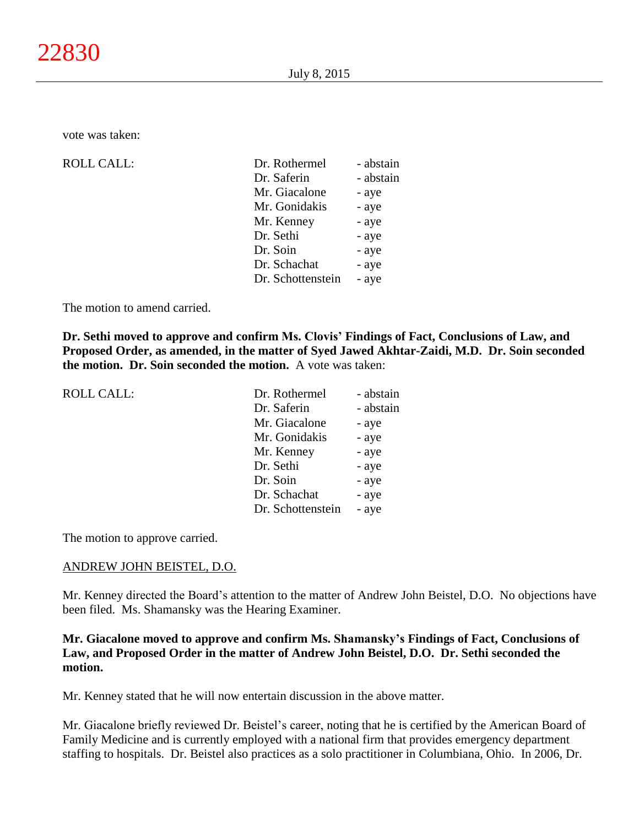vote was taken:

| <b>ROLL CALL:</b> | Dr. Rothermel     | - abstain |
|-------------------|-------------------|-----------|
|                   | Dr. Saferin       | - abstain |
|                   | Mr. Giacalone     | - aye     |
|                   | Mr. Gonidakis     | - aye     |
|                   | Mr. Kenney        | - aye     |
|                   | Dr. Sethi         | - aye     |
|                   | Dr. Soin          | - aye     |
|                   | Dr. Schachat      | - aye     |
|                   | Dr. Schottenstein | - aye     |
|                   |                   |           |

The motion to amend carried.

**Dr. Sethi moved to approve and confirm Ms. Clovis' Findings of Fact, Conclusions of Law, and Proposed Order, as amended, in the matter of Syed Jawed Akhtar-Zaidi, M.D. Dr. Soin seconded the motion. Dr. Soin seconded the motion.** A vote was taken:

| <b>ROLL CALL:</b> | Dr. Rothermel     | - abstain |
|-------------------|-------------------|-----------|
|                   | Dr. Saferin       | - abstain |
|                   | Mr. Giacalone     | - aye     |
|                   | Mr. Gonidakis     | - aye     |
|                   | Mr. Kenney        | - aye     |
|                   | Dr. Sethi         | - aye     |
|                   | Dr. Soin          | - aye     |
|                   | Dr. Schachat      | - aye     |
|                   | Dr. Schottenstein | - aye     |
|                   |                   |           |

The motion to approve carried.

## ANDREW JOHN BEISTEL, D.O.

Mr. Kenney directed the Board's attention to the matter of Andrew John Beistel, D.O. No objections have been filed. Ms. Shamansky was the Hearing Examiner.

# **Mr. Giacalone moved to approve and confirm Ms. Shamansky's Findings of Fact, Conclusions of Law, and Proposed Order in the matter of Andrew John Beistel, D.O. Dr. Sethi seconded the motion.**

Mr. Kenney stated that he will now entertain discussion in the above matter.

Mr. Giacalone briefly reviewed Dr. Beistel's career, noting that he is certified by the American Board of Family Medicine and is currently employed with a national firm that provides emergency department staffing to hospitals. Dr. Beistel also practices as a solo practitioner in Columbiana, Ohio. In 2006, Dr.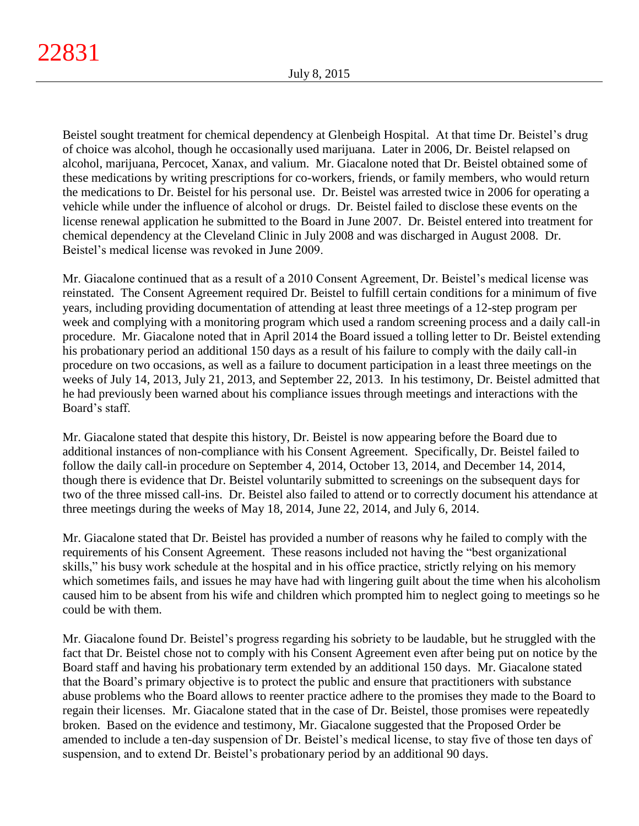Beistel sought treatment for chemical dependency at Glenbeigh Hospital. At that time Dr. Beistel's drug of choice was alcohol, though he occasionally used marijuana. Later in 2006, Dr. Beistel relapsed on alcohol, marijuana, Percocet, Xanax, and valium. Mr. Giacalone noted that Dr. Beistel obtained some of these medications by writing prescriptions for co-workers, friends, or family members, who would return the medications to Dr. Beistel for his personal use. Dr. Beistel was arrested twice in 2006 for operating a vehicle while under the influence of alcohol or drugs. Dr. Beistel failed to disclose these events on the license renewal application he submitted to the Board in June 2007. Dr. Beistel entered into treatment for chemical dependency at the Cleveland Clinic in July 2008 and was discharged in August 2008. Dr. Beistel's medical license was revoked in June 2009.

Mr. Giacalone continued that as a result of a 2010 Consent Agreement, Dr. Beistel's medical license was reinstated. The Consent Agreement required Dr. Beistel to fulfill certain conditions for a minimum of five years, including providing documentation of attending at least three meetings of a 12-step program per week and complying with a monitoring program which used a random screening process and a daily call-in procedure. Mr. Giacalone noted that in April 2014 the Board issued a tolling letter to Dr. Beistel extending his probationary period an additional 150 days as a result of his failure to comply with the daily call-in procedure on two occasions, as well as a failure to document participation in a least three meetings on the weeks of July 14, 2013, July 21, 2013, and September 22, 2013. In his testimony, Dr. Beistel admitted that he had previously been warned about his compliance issues through meetings and interactions with the Board's staff.

Mr. Giacalone stated that despite this history, Dr. Beistel is now appearing before the Board due to additional instances of non-compliance with his Consent Agreement. Specifically, Dr. Beistel failed to follow the daily call-in procedure on September 4, 2014, October 13, 2014, and December 14, 2014, though there is evidence that Dr. Beistel voluntarily submitted to screenings on the subsequent days for two of the three missed call-ins. Dr. Beistel also failed to attend or to correctly document his attendance at three meetings during the weeks of May 18, 2014, June 22, 2014, and July 6, 2014.

Mr. Giacalone stated that Dr. Beistel has provided a number of reasons why he failed to comply with the requirements of his Consent Agreement. These reasons included not having the "best organizational skills," his busy work schedule at the hospital and in his office practice, strictly relying on his memory which sometimes fails, and issues he may have had with lingering guilt about the time when his alcoholism caused him to be absent from his wife and children which prompted him to neglect going to meetings so he could be with them.

Mr. Giacalone found Dr. Beistel's progress regarding his sobriety to be laudable, but he struggled with the fact that Dr. Beistel chose not to comply with his Consent Agreement even after being put on notice by the Board staff and having his probationary term extended by an additional 150 days. Mr. Giacalone stated that the Board's primary objective is to protect the public and ensure that practitioners with substance abuse problems who the Board allows to reenter practice adhere to the promises they made to the Board to regain their licenses. Mr. Giacalone stated that in the case of Dr. Beistel, those promises were repeatedly broken. Based on the evidence and testimony, Mr. Giacalone suggested that the Proposed Order be amended to include a ten-day suspension of Dr. Beistel's medical license, to stay five of those ten days of suspension, and to extend Dr. Beistel's probationary period by an additional 90 days.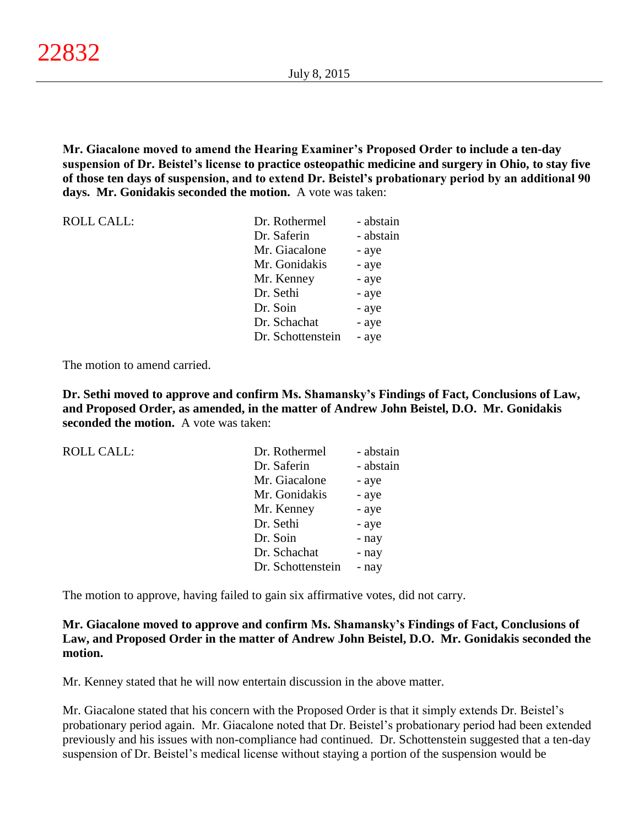**Mr. Giacalone moved to amend the Hearing Examiner's Proposed Order to include a ten-day suspension of Dr. Beistel's license to practice osteopathic medicine and surgery in Ohio, to stay five of those ten days of suspension, and to extend Dr. Beistel's probationary period by an additional 90 days. Mr. Gonidakis seconded the motion.** A vote was taken:

| <b>ROLL CALL:</b> | Dr. Rothermel     | - abstain |
|-------------------|-------------------|-----------|
|                   | Dr. Saferin       | - abstain |
|                   | Mr. Giacalone     | - aye     |
|                   | Mr. Gonidakis     | - aye     |
|                   | Mr. Kenney        | - aye     |
|                   | Dr. Sethi         | - aye     |
|                   | Dr. Soin          | - aye     |
|                   | Dr. Schachat      | - aye     |
|                   | Dr. Schottenstein | - aye     |

The motion to amend carried.

**Dr. Sethi moved to approve and confirm Ms. Shamansky's Findings of Fact, Conclusions of Law, and Proposed Order, as amended, in the matter of Andrew John Beistel, D.O. Mr. Gonidakis seconded the motion.** A vote was taken:

| <b>ROLL CALL:</b> | Dr. Rothermel     | - abstain |
|-------------------|-------------------|-----------|
|                   | Dr. Saferin       | - abstain |
|                   | Mr. Giacalone     | - aye     |
|                   | Mr. Gonidakis     | - aye     |
|                   | Mr. Kenney        | - aye     |
|                   | Dr. Sethi         | - aye     |
|                   | Dr. Soin          | - nay     |
|                   | Dr. Schachat      | - nay     |
|                   | Dr. Schottenstein | - nay     |
|                   |                   |           |

The motion to approve, having failed to gain six affirmative votes, did not carry.

**Mr. Giacalone moved to approve and confirm Ms. Shamansky's Findings of Fact, Conclusions of Law, and Proposed Order in the matter of Andrew John Beistel, D.O. Mr. Gonidakis seconded the motion.**

Mr. Kenney stated that he will now entertain discussion in the above matter.

Mr. Giacalone stated that his concern with the Proposed Order is that it simply extends Dr. Beistel's probationary period again. Mr. Giacalone noted that Dr. Beistel's probationary period had been extended previously and his issues with non-compliance had continued. Dr. Schottenstein suggested that a ten-day suspension of Dr. Beistel's medical license without staying a portion of the suspension would be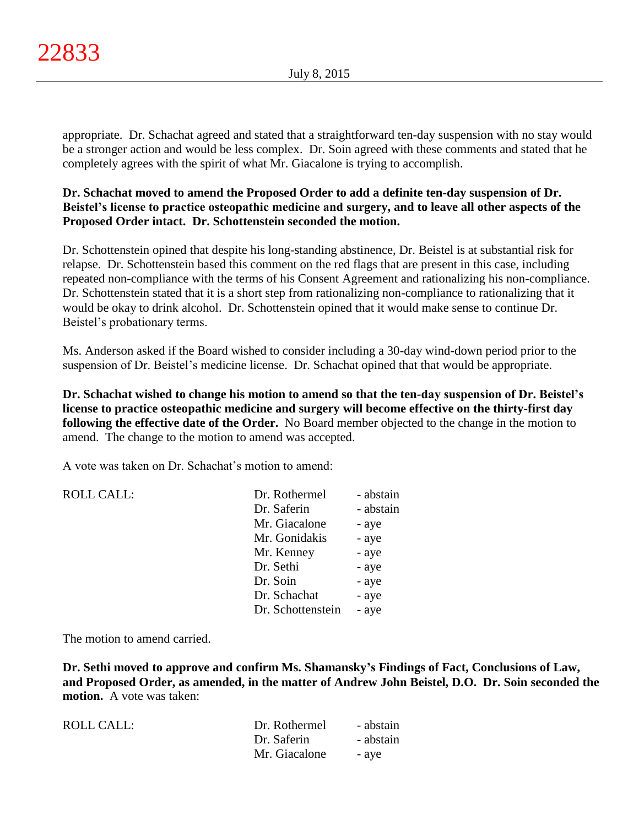appropriate. Dr. Schachat agreed and stated that a straightforward ten-day suspension with no stay would be a stronger action and would be less complex. Dr. Soin agreed with these comments and stated that he completely agrees with the spirit of what Mr. Giacalone is trying to accomplish.

# **Dr. Schachat moved to amend the Proposed Order to add a definite ten-day suspension of Dr. Beistel's license to practice osteopathic medicine and surgery, and to leave all other aspects of the Proposed Order intact. Dr. Schottenstein seconded the motion.**

Dr. Schottenstein opined that despite his long-standing abstinence, Dr. Beistel is at substantial risk for relapse. Dr. Schottenstein based this comment on the red flags that are present in this case, including repeated non-compliance with the terms of his Consent Agreement and rationalizing his non-compliance. Dr. Schottenstein stated that it is a short step from rationalizing non-compliance to rationalizing that it would be okay to drink alcohol. Dr. Schottenstein opined that it would make sense to continue Dr. Beistel's probationary terms.

Ms. Anderson asked if the Board wished to consider including a 30-day wind-down period prior to the suspension of Dr. Beistel's medicine license. Dr. Schachat opined that that would be appropriate.

**Dr. Schachat wished to change his motion to amend so that the ten-day suspension of Dr. Beistel's license to practice osteopathic medicine and surgery will become effective on the thirty-first day following the effective date of the Order.** No Board member objected to the change in the motion to amend. The change to the motion to amend was accepted.

A vote was taken on Dr. Schachat's motion to amend:

| <b>ROLL CALL:</b> | Dr. Rothermel     | - abstain |
|-------------------|-------------------|-----------|
|                   | Dr. Saferin       | - abstain |
|                   | Mr. Giacalone     | - aye     |
|                   | Mr. Gonidakis     | - aye     |
|                   | Mr. Kenney        | - aye     |
|                   | Dr. Sethi         | - aye     |
|                   | Dr. Soin          | - aye     |
|                   | Dr. Schachat      | - aye     |
|                   | Dr. Schottenstein | - aye     |

The motion to amend carried.

**Dr. Sethi moved to approve and confirm Ms. Shamansky's Findings of Fact, Conclusions of Law, and Proposed Order, as amended, in the matter of Andrew John Beistel, D.O. Dr. Soin seconded the motion.** A vote was taken:

| <b>ROLL CALL:</b> | Dr. Rothermel | - abstain |
|-------------------|---------------|-----------|
|                   | Dr. Saferin   | - abstain |
|                   | Mr. Giacalone | - ave     |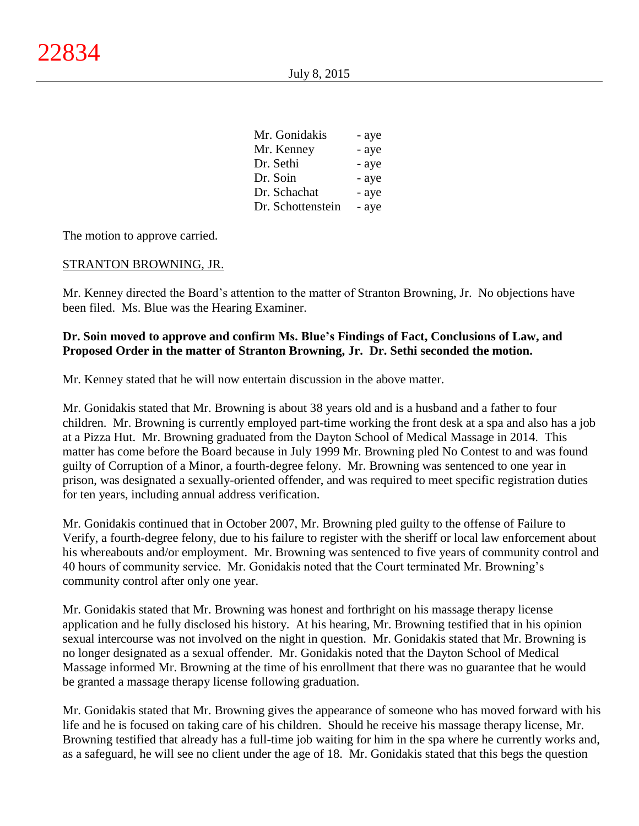| Mr. Gonidakis     | - aye |
|-------------------|-------|
| Mr. Kenney        | - aye |
| Dr. Sethi         | - aye |
| Dr. Soin          | - aye |
| Dr. Schachat      | - aye |
| Dr. Schottenstein | - aye |

The motion to approve carried.

## STRANTON BROWNING, JR.

Mr. Kenney directed the Board's attention to the matter of Stranton Browning, Jr. No objections have been filed. Ms. Blue was the Hearing Examiner.

# **Dr. Soin moved to approve and confirm Ms. Blue's Findings of Fact, Conclusions of Law, and Proposed Order in the matter of Stranton Browning, Jr. Dr. Sethi seconded the motion.**

Mr. Kenney stated that he will now entertain discussion in the above matter.

Mr. Gonidakis stated that Mr. Browning is about 38 years old and is a husband and a father to four children. Mr. Browning is currently employed part-time working the front desk at a spa and also has a job at a Pizza Hut. Mr. Browning graduated from the Dayton School of Medical Massage in 2014. This matter has come before the Board because in July 1999 Mr. Browning pled No Contest to and was found guilty of Corruption of a Minor, a fourth-degree felony. Mr. Browning was sentenced to one year in prison, was designated a sexually-oriented offender, and was required to meet specific registration duties for ten years, including annual address verification.

Mr. Gonidakis continued that in October 2007, Mr. Browning pled guilty to the offense of Failure to Verify, a fourth-degree felony, due to his failure to register with the sheriff or local law enforcement about his whereabouts and/or employment. Mr. Browning was sentenced to five years of community control and 40 hours of community service. Mr. Gonidakis noted that the Court terminated Mr. Browning's community control after only one year.

Mr. Gonidakis stated that Mr. Browning was honest and forthright on his massage therapy license application and he fully disclosed his history. At his hearing, Mr. Browning testified that in his opinion sexual intercourse was not involved on the night in question. Mr. Gonidakis stated that Mr. Browning is no longer designated as a sexual offender. Mr. Gonidakis noted that the Dayton School of Medical Massage informed Mr. Browning at the time of his enrollment that there was no guarantee that he would be granted a massage therapy license following graduation.

Mr. Gonidakis stated that Mr. Browning gives the appearance of someone who has moved forward with his life and he is focused on taking care of his children. Should he receive his massage therapy license, Mr. Browning testified that already has a full-time job waiting for him in the spa where he currently works and, as a safeguard, he will see no client under the age of 18. Mr. Gonidakis stated that this begs the question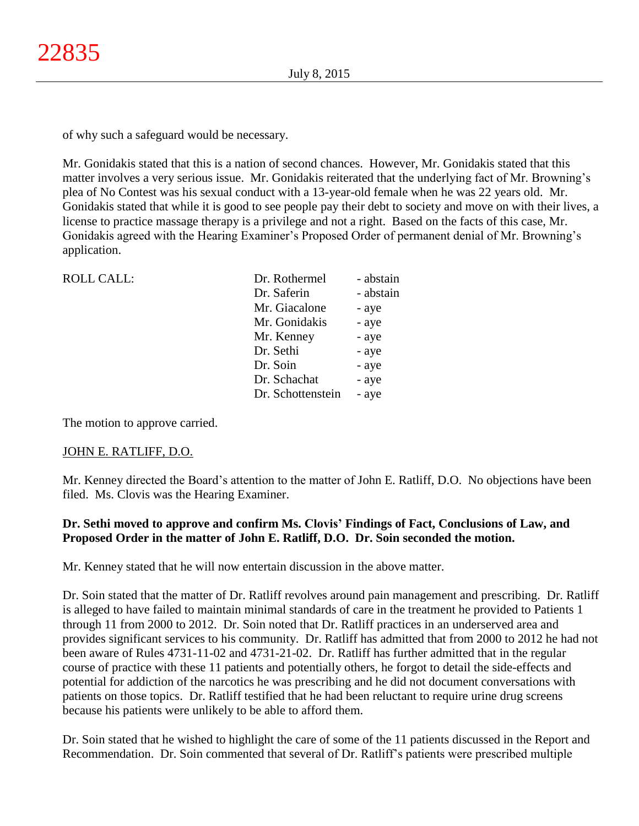of why such a safeguard would be necessary.

Mr. Gonidakis stated that this is a nation of second chances. However, Mr. Gonidakis stated that this matter involves a very serious issue. Mr. Gonidakis reiterated that the underlying fact of Mr. Browning's plea of No Contest was his sexual conduct with a 13-year-old female when he was 22 years old. Mr. Gonidakis stated that while it is good to see people pay their debt to society and move on with their lives, a license to practice massage therapy is a privilege and not a right. Based on the facts of this case, Mr. Gonidakis agreed with the Hearing Examiner's Proposed Order of permanent denial of Mr. Browning's application.

| Dr. Rothermel     | - abstain |
|-------------------|-----------|
| Dr. Saferin       | - abstain |
| Mr. Giacalone     | - aye     |
| Mr. Gonidakis     | - aye     |
| Mr. Kenney        | - aye     |
| Dr. Sethi         | - aye     |
| Dr. Soin          | - aye     |
| Dr. Schachat      | - aye     |
| Dr. Schottenstein | - aye     |
|                   |           |

The motion to approve carried.

# JOHN E. RATLIFF, D.O.

Mr. Kenney directed the Board's attention to the matter of John E. Ratliff, D.O. No objections have been filed. Ms. Clovis was the Hearing Examiner.

# **Dr. Sethi moved to approve and confirm Ms. Clovis' Findings of Fact, Conclusions of Law, and Proposed Order in the matter of John E. Ratliff, D.O. Dr. Soin seconded the motion.**

Mr. Kenney stated that he will now entertain discussion in the above matter.

Dr. Soin stated that the matter of Dr. Ratliff revolves around pain management and prescribing. Dr. Ratliff is alleged to have failed to maintain minimal standards of care in the treatment he provided to Patients 1 through 11 from 2000 to 2012. Dr. Soin noted that Dr. Ratliff practices in an underserved area and provides significant services to his community. Dr. Ratliff has admitted that from 2000 to 2012 he had not been aware of Rules 4731-11-02 and 4731-21-02. Dr. Ratliff has further admitted that in the regular course of practice with these 11 patients and potentially others, he forgot to detail the side-effects and potential for addiction of the narcotics he was prescribing and he did not document conversations with patients on those topics. Dr. Ratliff testified that he had been reluctant to require urine drug screens because his patients were unlikely to be able to afford them.

Dr. Soin stated that he wished to highlight the care of some of the 11 patients discussed in the Report and Recommendation. Dr. Soin commented that several of Dr. Ratliff's patients were prescribed multiple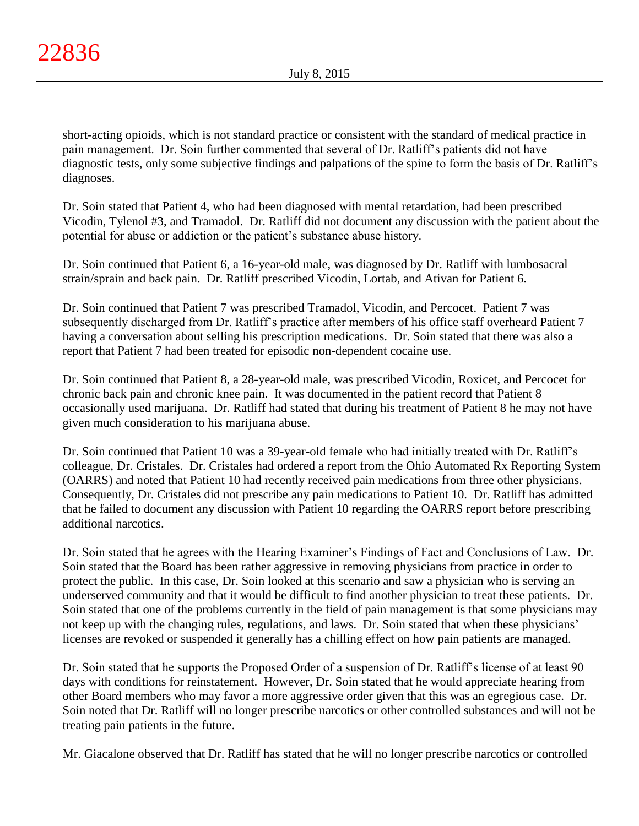short-acting opioids, which is not standard practice or consistent with the standard of medical practice in pain management. Dr. Soin further commented that several of Dr. Ratliff's patients did not have diagnostic tests, only some subjective findings and palpations of the spine to form the basis of Dr. Ratliff's diagnoses.

Dr. Soin stated that Patient 4, who had been diagnosed with mental retardation, had been prescribed Vicodin, Tylenol #3, and Tramadol. Dr. Ratliff did not document any discussion with the patient about the potential for abuse or addiction or the patient's substance abuse history.

Dr. Soin continued that Patient 6, a 16-year-old male, was diagnosed by Dr. Ratliff with lumbosacral strain/sprain and back pain. Dr. Ratliff prescribed Vicodin, Lortab, and Ativan for Patient 6.

Dr. Soin continued that Patient 7 was prescribed Tramadol, Vicodin, and Percocet. Patient 7 was subsequently discharged from Dr. Ratliff's practice after members of his office staff overheard Patient 7 having a conversation about selling his prescription medications. Dr. Soin stated that there was also a report that Patient 7 had been treated for episodic non-dependent cocaine use.

Dr. Soin continued that Patient 8, a 28-year-old male, was prescribed Vicodin, Roxicet, and Percocet for chronic back pain and chronic knee pain. It was documented in the patient record that Patient 8 occasionally used marijuana. Dr. Ratliff had stated that during his treatment of Patient 8 he may not have given much consideration to his marijuana abuse.

Dr. Soin continued that Patient 10 was a 39-year-old female who had initially treated with Dr. Ratliff's colleague, Dr. Cristales. Dr. Cristales had ordered a report from the Ohio Automated Rx Reporting System (OARRS) and noted that Patient 10 had recently received pain medications from three other physicians. Consequently, Dr. Cristales did not prescribe any pain medications to Patient 10. Dr. Ratliff has admitted that he failed to document any discussion with Patient 10 regarding the OARRS report before prescribing additional narcotics.

Dr. Soin stated that he agrees with the Hearing Examiner's Findings of Fact and Conclusions of Law. Dr. Soin stated that the Board has been rather aggressive in removing physicians from practice in order to protect the public. In this case, Dr. Soin looked at this scenario and saw a physician who is serving an underserved community and that it would be difficult to find another physician to treat these patients. Dr. Soin stated that one of the problems currently in the field of pain management is that some physicians may not keep up with the changing rules, regulations, and laws. Dr. Soin stated that when these physicians' licenses are revoked or suspended it generally has a chilling effect on how pain patients are managed.

Dr. Soin stated that he supports the Proposed Order of a suspension of Dr. Ratliff's license of at least 90 days with conditions for reinstatement. However, Dr. Soin stated that he would appreciate hearing from other Board members who may favor a more aggressive order given that this was an egregious case. Dr. Soin noted that Dr. Ratliff will no longer prescribe narcotics or other controlled substances and will not be treating pain patients in the future.

Mr. Giacalone observed that Dr. Ratliff has stated that he will no longer prescribe narcotics or controlled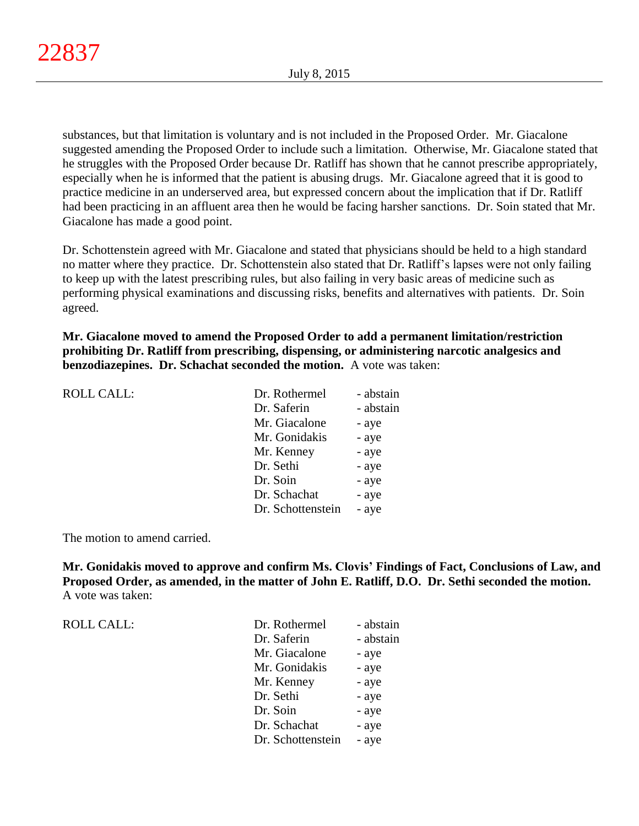substances, but that limitation is voluntary and is not included in the Proposed Order. Mr. Giacalone suggested amending the Proposed Order to include such a limitation. Otherwise, Mr. Giacalone stated that he struggles with the Proposed Order because Dr. Ratliff has shown that he cannot prescribe appropriately, especially when he is informed that the patient is abusing drugs. Mr. Giacalone agreed that it is good to practice medicine in an underserved area, but expressed concern about the implication that if Dr. Ratliff had been practicing in an affluent area then he would be facing harsher sanctions. Dr. Soin stated that Mr. Giacalone has made a good point.

Dr. Schottenstein agreed with Mr. Giacalone and stated that physicians should be held to a high standard no matter where they practice. Dr. Schottenstein also stated that Dr. Ratliff's lapses were not only failing to keep up with the latest prescribing rules, but also failing in very basic areas of medicine such as performing physical examinations and discussing risks, benefits and alternatives with patients. Dr. Soin agreed.

**Mr. Giacalone moved to amend the Proposed Order to add a permanent limitation/restriction prohibiting Dr. Ratliff from prescribing, dispensing, or administering narcotic analgesics and benzodiazepines. Dr. Schachat seconded the motion.** A vote was taken:

| <b>ROLL CALL:</b> | Dr. Rothermel     | - abstain |
|-------------------|-------------------|-----------|
|                   | Dr. Saferin       | - abstain |
|                   | Mr. Giacalone     | - aye     |
|                   | Mr. Gonidakis     | - aye     |
|                   | Mr. Kenney        | - aye     |
|                   | Dr. Sethi         | - aye     |
|                   | Dr. Soin          | - aye     |
|                   | Dr. Schachat      | - aye     |
|                   | Dr. Schottenstein | - aye     |
|                   |                   |           |

The motion to amend carried.

**Mr. Gonidakis moved to approve and confirm Ms. Clovis' Findings of Fact, Conclusions of Law, and Proposed Order, as amended, in the matter of John E. Ratliff, D.O. Dr. Sethi seconded the motion.** A vote was taken:

ROLL CALL:

| Dr. Rothermel     | - abstain |
|-------------------|-----------|
| Dr. Saferin       | - abstain |
| Mr. Giacalone     | - aye     |
| Mr. Gonidakis     | - aye     |
| Mr. Kenney        | - aye     |
| Dr. Sethi         | - aye     |
| Dr. Soin          | - aye     |
| Dr. Schachat      | - aye     |
| Dr. Schottenstein | - aye     |
|                   |           |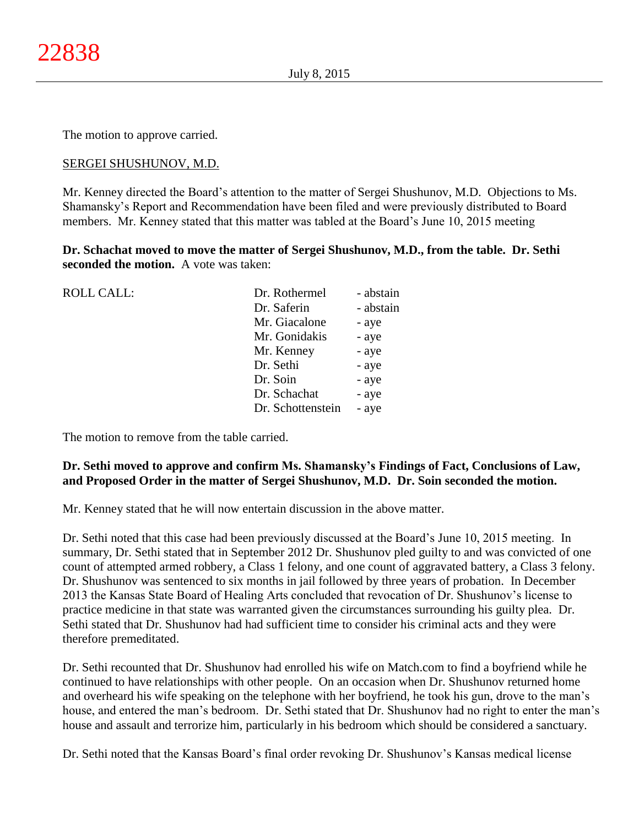The motion to approve carried.

# SERGEI SHUSHUNOV, M.D.

Mr. Kenney directed the Board's attention to the matter of Sergei Shushunov, M.D. Objections to Ms. Shamansky's Report and Recommendation have been filed and were previously distributed to Board members. Mr. Kenney stated that this matter was tabled at the Board's June 10, 2015 meeting

**Dr. Schachat moved to move the matter of Sergei Shushunov, M.D., from the table. Dr. Sethi seconded the motion.** A vote was taken:

| <b>ROLL CALL:</b> | Dr. Rothermel     | - abstain |
|-------------------|-------------------|-----------|
|                   | Dr. Saferin       | - abstain |
|                   | Mr. Giacalone     | - aye     |
|                   | Mr. Gonidakis     | - aye     |
|                   | Mr. Kenney        | - aye     |
|                   | Dr. Sethi         | - aye     |
|                   | Dr. Soin          | - aye     |
|                   | Dr. Schachat      | - aye     |
|                   | Dr. Schottenstein | - aye     |
|                   |                   |           |

The motion to remove from the table carried.

# **Dr. Sethi moved to approve and confirm Ms. Shamansky's Findings of Fact, Conclusions of Law, and Proposed Order in the matter of Sergei Shushunov, M.D. Dr. Soin seconded the motion.**

Mr. Kenney stated that he will now entertain discussion in the above matter.

Dr. Sethi noted that this case had been previously discussed at the Board's June 10, 2015 meeting. In summary, Dr. Sethi stated that in September 2012 Dr. Shushunov pled guilty to and was convicted of one count of attempted armed robbery, a Class 1 felony, and one count of aggravated battery, a Class 3 felony. Dr. Shushunov was sentenced to six months in jail followed by three years of probation. In December 2013 the Kansas State Board of Healing Arts concluded that revocation of Dr. Shushunov's license to practice medicine in that state was warranted given the circumstances surrounding his guilty plea. Dr. Sethi stated that Dr. Shushunov had had sufficient time to consider his criminal acts and they were therefore premeditated.

Dr. Sethi recounted that Dr. Shushunov had enrolled his wife on Match.com to find a boyfriend while he continued to have relationships with other people. On an occasion when Dr. Shushunov returned home and overheard his wife speaking on the telephone with her boyfriend, he took his gun, drove to the man's house, and entered the man's bedroom. Dr. Sethi stated that Dr. Shushunov had no right to enter the man's house and assault and terrorize him, particularly in his bedroom which should be considered a sanctuary.

Dr. Sethi noted that the Kansas Board's final order revoking Dr. Shushunov's Kansas medical license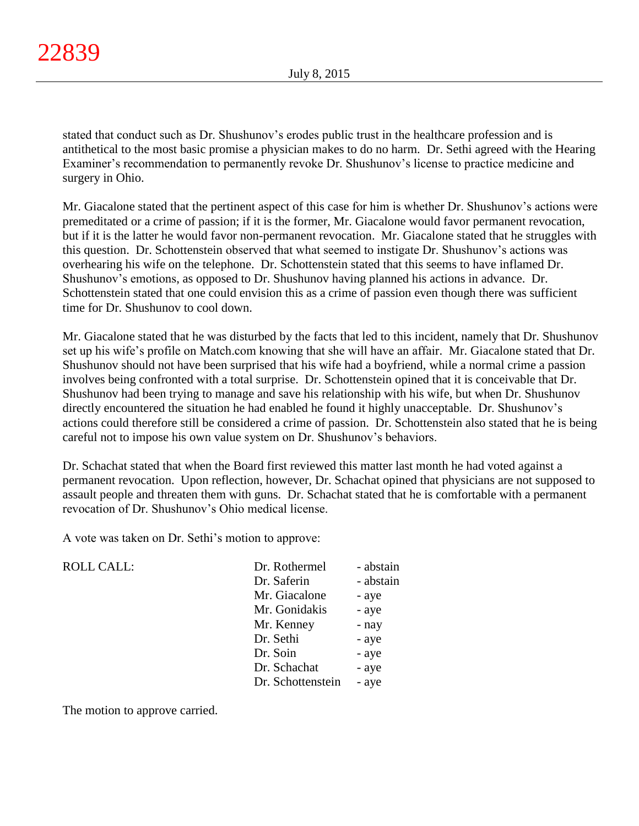stated that conduct such as Dr. Shushunov's erodes public trust in the healthcare profession and is antithetical to the most basic promise a physician makes to do no harm. Dr. Sethi agreed with the Hearing Examiner's recommendation to permanently revoke Dr. Shushunov's license to practice medicine and surgery in Ohio.

Mr. Giacalone stated that the pertinent aspect of this case for him is whether Dr. Shushunov's actions were premeditated or a crime of passion; if it is the former, Mr. Giacalone would favor permanent revocation, but if it is the latter he would favor non-permanent revocation. Mr. Giacalone stated that he struggles with this question. Dr. Schottenstein observed that what seemed to instigate Dr. Shushunov's actions was overhearing his wife on the telephone. Dr. Schottenstein stated that this seems to have inflamed Dr. Shushunov's emotions, as opposed to Dr. Shushunov having planned his actions in advance. Dr. Schottenstein stated that one could envision this as a crime of passion even though there was sufficient time for Dr. Shushunov to cool down.

Mr. Giacalone stated that he was disturbed by the facts that led to this incident, namely that Dr. Shushunov set up his wife's profile on Match.com knowing that she will have an affair. Mr. Giacalone stated that Dr. Shushunov should not have been surprised that his wife had a boyfriend, while a normal crime a passion involves being confronted with a total surprise. Dr. Schottenstein opined that it is conceivable that Dr. Shushunov had been trying to manage and save his relationship with his wife, but when Dr. Shushunov directly encountered the situation he had enabled he found it highly unacceptable. Dr. Shushunov's actions could therefore still be considered a crime of passion. Dr. Schottenstein also stated that he is being careful not to impose his own value system on Dr. Shushunov's behaviors.

Dr. Schachat stated that when the Board first reviewed this matter last month he had voted against a permanent revocation. Upon reflection, however, Dr. Schachat opined that physicians are not supposed to assault people and threaten them with guns. Dr. Schachat stated that he is comfortable with a permanent revocation of Dr. Shushunov's Ohio medical license.

A vote was taken on Dr. Sethi's motion to approve:

ROLL CALL:

| Dr. Rothermel     | - abstain |
|-------------------|-----------|
| Dr. Saferin       | - abstain |
| Mr. Giacalone     | - aye     |
| Mr. Gonidakis     | - aye     |
| Mr. Kenney        | - nay     |
| Dr. Sethi         | - aye     |
| Dr. Soin          | - aye     |
| Dr. Schachat      | - aye     |
| Dr. Schottenstein | - aye     |

The motion to approve carried.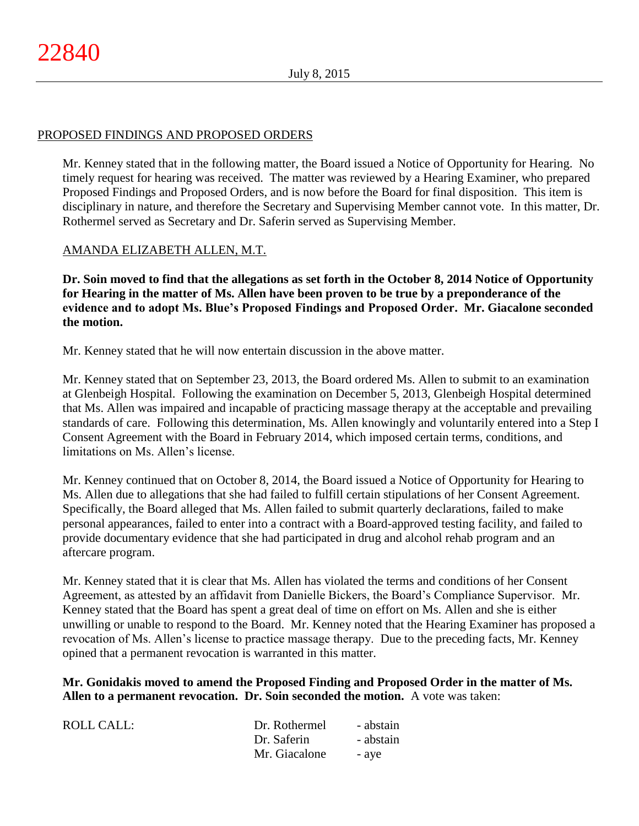# PROPOSED FINDINGS AND PROPOSED ORDERS

Mr. Kenney stated that in the following matter, the Board issued a Notice of Opportunity for Hearing. No timely request for hearing was received. The matter was reviewed by a Hearing Examiner, who prepared Proposed Findings and Proposed Orders, and is now before the Board for final disposition. This item is disciplinary in nature, and therefore the Secretary and Supervising Member cannot vote. In this matter, Dr. Rothermel served as Secretary and Dr. Saferin served as Supervising Member.

# AMANDA ELIZABETH ALLEN, M.T.

**Dr. Soin moved to find that the allegations as set forth in the October 8, 2014 Notice of Opportunity for Hearing in the matter of Ms. Allen have been proven to be true by a preponderance of the evidence and to adopt Ms. Blue's Proposed Findings and Proposed Order. Mr. Giacalone seconded the motion.**

Mr. Kenney stated that he will now entertain discussion in the above matter.

Mr. Kenney stated that on September 23, 2013, the Board ordered Ms. Allen to submit to an examination at Glenbeigh Hospital. Following the examination on December 5, 2013, Glenbeigh Hospital determined that Ms. Allen was impaired and incapable of practicing massage therapy at the acceptable and prevailing standards of care. Following this determination, Ms. Allen knowingly and voluntarily entered into a Step I Consent Agreement with the Board in February 2014, which imposed certain terms, conditions, and limitations on Ms. Allen's license.

Mr. Kenney continued that on October 8, 2014, the Board issued a Notice of Opportunity for Hearing to Ms. Allen due to allegations that she had failed to fulfill certain stipulations of her Consent Agreement. Specifically, the Board alleged that Ms. Allen failed to submit quarterly declarations, failed to make personal appearances, failed to enter into a contract with a Board-approved testing facility, and failed to provide documentary evidence that she had participated in drug and alcohol rehab program and an aftercare program.

Mr. Kenney stated that it is clear that Ms. Allen has violated the terms and conditions of her Consent Agreement, as attested by an affidavit from Danielle Bickers, the Board's Compliance Supervisor. Mr. Kenney stated that the Board has spent a great deal of time on effort on Ms. Allen and she is either unwilling or unable to respond to the Board. Mr. Kenney noted that the Hearing Examiner has proposed a revocation of Ms. Allen's license to practice massage therapy. Due to the preceding facts, Mr. Kenney opined that a permanent revocation is warranted in this matter.

**Mr. Gonidakis moved to amend the Proposed Finding and Proposed Order in the matter of Ms. Allen to a permanent revocation. Dr. Soin seconded the motion.** A vote was taken:

| ROLL CALL: | Dr. Rothermel | - abstain |
|------------|---------------|-----------|
|            | Dr. Saferin   | - abstain |
|            | Mr. Giacalone | - ave     |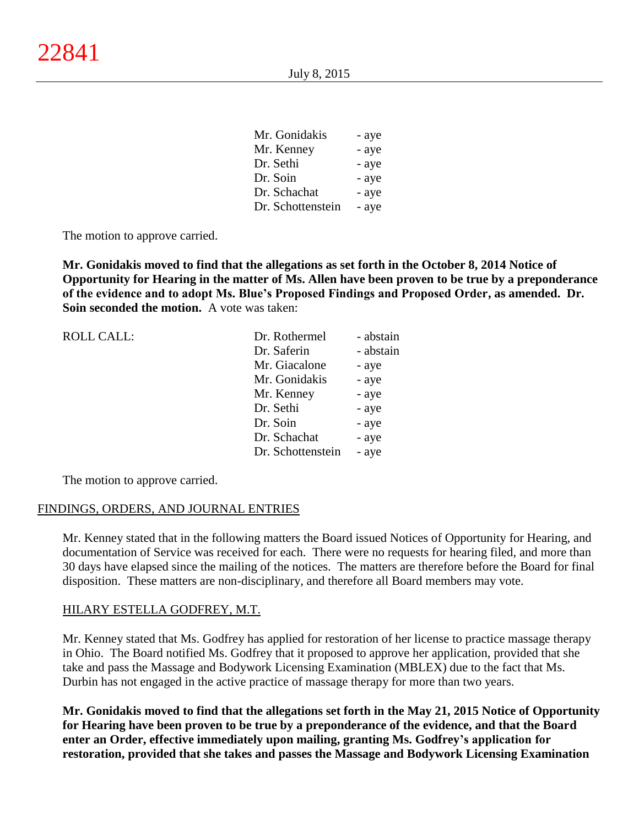| Mr. Gonidakis     | - aye |
|-------------------|-------|
| Mr. Kenney        | - aye |
| Dr. Sethi         | - aye |
| Dr. Soin          | - aye |
| Dr. Schachat      | - aye |
| Dr. Schottenstein | - aye |

 $\overline{M}$   $\overline{G}$   $\overline{M}$ 

The motion to approve carried.

**Mr. Gonidakis moved to find that the allegations as set forth in the October 8, 2014 Notice of Opportunity for Hearing in the matter of Ms. Allen have been proven to be true by a preponderance of the evidence and to adopt Ms. Blue's Proposed Findings and Proposed Order, as amended. Dr. Soin seconded the motion.** A vote was taken:

| Dr. Rothermel     | - abstain |
|-------------------|-----------|
| Dr. Saferin       | - abstain |
| Mr. Giacalone     | - aye     |
| Mr. Gonidakis     | - aye     |
| Mr. Kenney        | - aye     |
| Dr. Sethi         | - aye     |
| Dr. Soin          | - aye     |
| Dr. Schachat      | - aye     |
| Dr. Schottenstein | - aye     |
|                   |           |

The motion to approve carried.

## FINDINGS, ORDERS, AND JOURNAL ENTRIES

Mr. Kenney stated that in the following matters the Board issued Notices of Opportunity for Hearing, and documentation of Service was received for each. There were no requests for hearing filed, and more than 30 days have elapsed since the mailing of the notices. The matters are therefore before the Board for final disposition. These matters are non-disciplinary, and therefore all Board members may vote.

## HILARY ESTELLA GODFREY, M.T.

Mr. Kenney stated that Ms. Godfrey has applied for restoration of her license to practice massage therapy in Ohio. The Board notified Ms. Godfrey that it proposed to approve her application, provided that she take and pass the Massage and Bodywork Licensing Examination (MBLEX) due to the fact that Ms. Durbin has not engaged in the active practice of massage therapy for more than two years.

**Mr. Gonidakis moved to find that the allegations set forth in the May 21, 2015 Notice of Opportunity for Hearing have been proven to be true by a preponderance of the evidence, and that the Board enter an Order, effective immediately upon mailing, granting Ms. Godfrey's application for restoration, provided that she takes and passes the Massage and Bodywork Licensing Examination**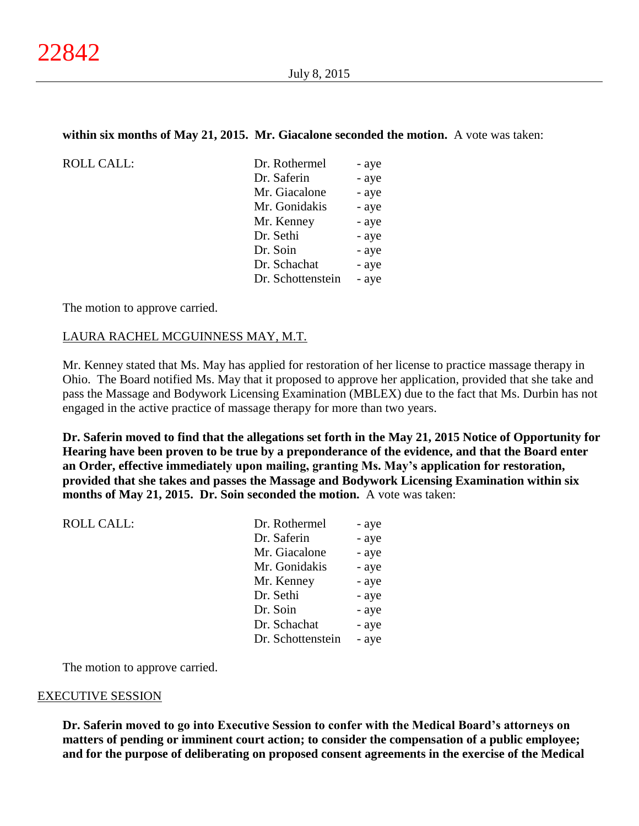# **within six months of May 21, 2015. Mr. Giacalone seconded the motion.** A vote was taken:

| ROLL CALL: | Dr. Rothermel     | - aye |
|------------|-------------------|-------|
|            | Dr. Saferin       | - aye |
|            | Mr. Giacalone     | - aye |
|            | Mr. Gonidakis     | - aye |
|            | Mr. Kenney        | - aye |
|            | Dr. Sethi         | - aye |
|            | Dr. Soin          | - aye |
|            | Dr. Schachat      | - aye |
|            | Dr. Schottenstein | - aye |
|            |                   |       |

The motion to approve carried.

## LAURA RACHEL MCGUINNESS MAY, M.T.

Mr. Kenney stated that Ms. May has applied for restoration of her license to practice massage therapy in Ohio. The Board notified Ms. May that it proposed to approve her application, provided that she take and pass the Massage and Bodywork Licensing Examination (MBLEX) due to the fact that Ms. Durbin has not engaged in the active practice of massage therapy for more than two years.

**Dr. Saferin moved to find that the allegations set forth in the May 21, 2015 Notice of Opportunity for Hearing have been proven to be true by a preponderance of the evidence, and that the Board enter an Order, effective immediately upon mailing, granting Ms. May's application for restoration, provided that she takes and passes the Massage and Bodywork Licensing Examination within six months of May 21, 2015. Dr. Soin seconded the motion.** A vote was taken:

| <b>ROLL CALL:</b> | Dr. Rothermel     | - aye |
|-------------------|-------------------|-------|
|                   | Dr. Saferin       | - aye |
|                   | Mr. Giacalone     | - aye |
|                   | Mr. Gonidakis     | - aye |
|                   | Mr. Kenney        | - aye |
|                   | Dr. Sethi         | - aye |
|                   | Dr. Soin          | - aye |
|                   | Dr. Schachat      | - aye |
|                   | Dr. Schottenstein | - aye |
|                   |                   |       |

The motion to approve carried.

## EXECUTIVE SESSION

**Dr. Saferin moved to go into Executive Session to confer with the Medical Board's attorneys on matters of pending or imminent court action; to consider the compensation of a public employee; and for the purpose of deliberating on proposed consent agreements in the exercise of the Medical**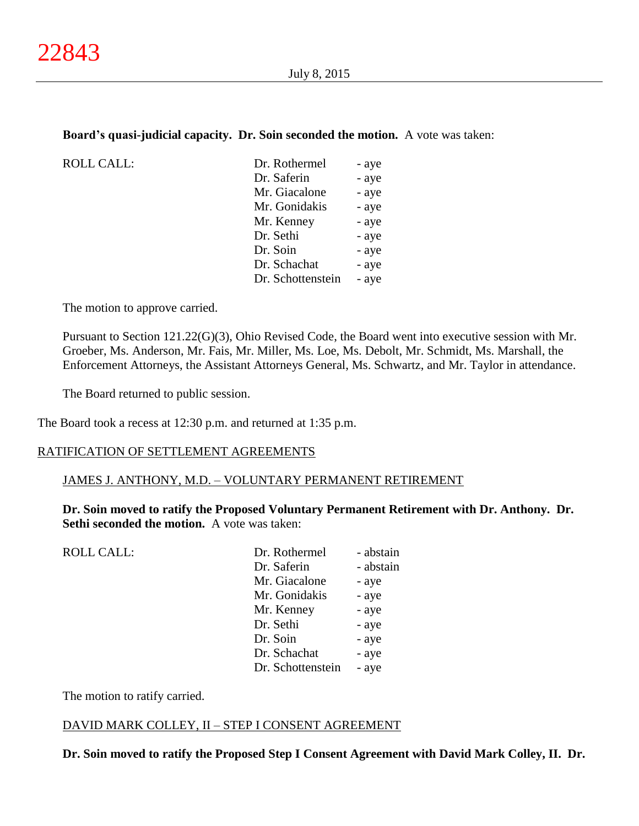## **Board's quasi-judicial capacity. Dr. Soin seconded the motion.** A vote was taken:

| <b>ROLL CALL:</b> | Dr. Rothermel     | - aye |
|-------------------|-------------------|-------|
|                   | Dr. Saferin       | - aye |
|                   | Mr. Giacalone     | - aye |
|                   | Mr. Gonidakis     | - aye |
|                   | Mr. Kenney        | - aye |
|                   | Dr. Sethi         | - aye |
|                   | Dr. Soin          | - aye |
|                   | Dr. Schachat      | - aye |
|                   | Dr. Schottenstein | - aye |

The motion to approve carried.

Pursuant to Section 121.22(G)(3), Ohio Revised Code, the Board went into executive session with Mr. Groeber, Ms. Anderson, Mr. Fais, Mr. Miller, Ms. Loe, Ms. Debolt, Mr. Schmidt, Ms. Marshall, the Enforcement Attorneys, the Assistant Attorneys General, Ms. Schwartz, and Mr. Taylor in attendance.

The Board returned to public session.

The Board took a recess at 12:30 p.m. and returned at 1:35 p.m.

## RATIFICATION OF SETTLEMENT AGREEMENTS

#### JAMES J. ANTHONY, M.D. – VOLUNTARY PERMANENT RETIREMENT

**Dr. Soin moved to ratify the Proposed Voluntary Permanent Retirement with Dr. Anthony. Dr. Sethi seconded the motion.** A vote was taken:

| <b>ROLL CALL:</b> | Dr. Rothermel<br>Dr. Saferin | - abstain<br>- abstain |
|-------------------|------------------------------|------------------------|
|                   | Mr. Giacalone                | - aye                  |
|                   | Mr. Gonidakis                | - aye                  |
|                   | Mr. Kenney                   | - aye                  |
|                   | Dr. Sethi                    | - aye                  |
|                   | Dr. Soin                     | - aye                  |
|                   | Dr. Schachat                 | - aye                  |
|                   | Dr. Schottenstein            | - aye                  |
|                   |                              |                        |

The motion to ratify carried.

## DAVID MARK COLLEY, II – STEP I CONSENT AGREEMENT

**Dr. Soin moved to ratify the Proposed Step I Consent Agreement with David Mark Colley, II. Dr.**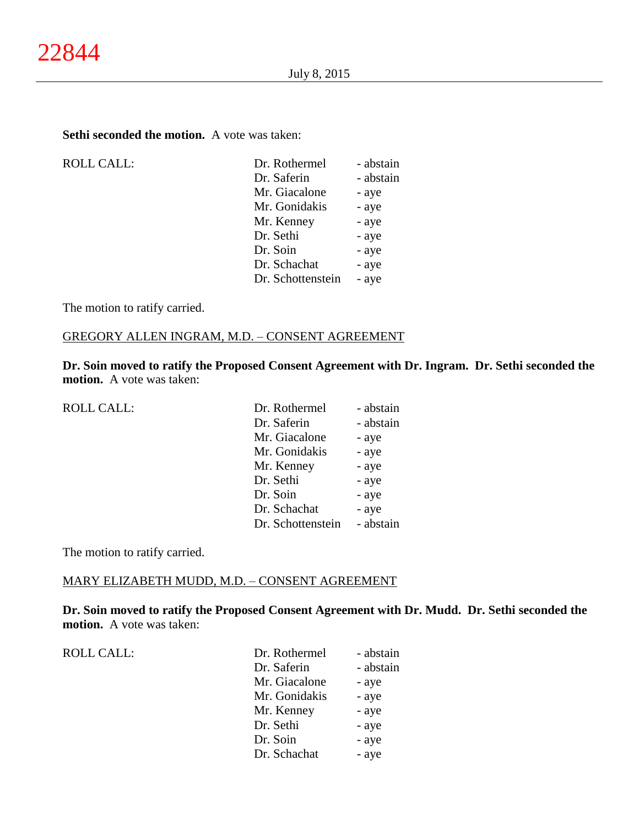## **Sethi seconded the motion.** A vote was taken:

| <b>ROLL CALL:</b> | Dr. Rothermel     | - abstain |
|-------------------|-------------------|-----------|
|                   | Dr. Saferin       | - abstain |
|                   | Mr. Giacalone     | - aye     |
|                   | Mr. Gonidakis     | - aye     |
|                   | Mr. Kenney        | - aye     |
|                   | Dr. Sethi         | - aye     |
|                   | Dr. Soin          | - aye     |
|                   | Dr. Schachat      | - aye     |
|                   | Dr. Schottenstein | - aye     |
|                   |                   |           |

The motion to ratify carried.

# GREGORY ALLEN INGRAM, M.D. – CONSENT AGREEMENT

**Dr. Soin moved to ratify the Proposed Consent Agreement with Dr. Ingram. Dr. Sethi seconded the motion.** A vote was taken:

| <b>ROLL CALL:</b> | Dr. Rothermel     | - abstain |
|-------------------|-------------------|-----------|
|                   | Dr. Saferin       | - abstain |
|                   | Mr. Giacalone     | - aye     |
|                   | Mr. Gonidakis     | - aye     |
|                   | Mr. Kenney        | - aye     |
|                   | Dr. Sethi         | - aye     |
|                   | Dr. Soin          | - aye     |
|                   | Dr. Schachat      | - aye     |
|                   | Dr. Schottenstein | - abstain |

The motion to ratify carried.

# MARY ELIZABETH MUDD, M.D. – CONSENT AGREEMENT

**Dr. Soin moved to ratify the Proposed Consent Agreement with Dr. Mudd. Dr. Sethi seconded the motion.** A vote was taken:

ROLL CALL:  $\qquad \qquad \Box$ 

| Dr. Rothermel | - abstain |
|---------------|-----------|
| Dr. Saferin   | - abstain |
| Mr. Giacalone | - aye     |
| Mr. Gonidakis | - aye     |
| Mr. Kenney    | - aye     |
| Dr. Sethi     | - aye     |
| Dr. Soin      | - aye     |
| Dr. Schachat  | - aye     |
|               |           |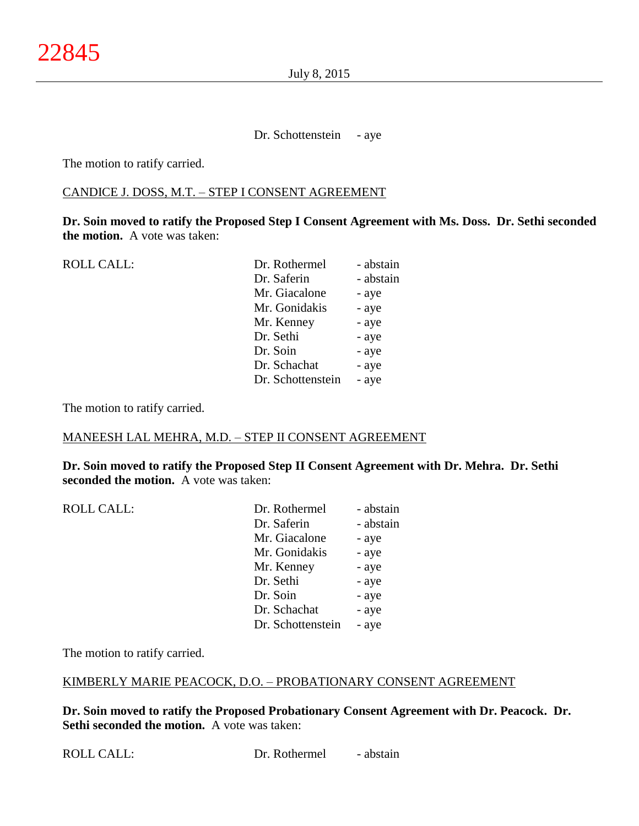Dr. Schottenstein - aye

The motion to ratify carried.

## CANDICE J. DOSS, M.T. – STEP I CONSENT AGREEMENT

**Dr. Soin moved to ratify the Proposed Step I Consent Agreement with Ms. Doss. Dr. Sethi seconded the motion.** A vote was taken:

| <b>ROLL CALL:</b> | Dr. Rothermel     | - abstain |
|-------------------|-------------------|-----------|
|                   | Dr. Saferin       | - abstain |
|                   | Mr. Giacalone     | - aye     |
|                   | Mr. Gonidakis     | - aye     |
|                   | Mr. Kenney        | - aye     |
|                   | Dr. Sethi         | - aye     |
|                   | Dr. Soin          | - aye     |
|                   | Dr. Schachat      | - aye     |
|                   | Dr. Schottenstein | - aye     |
|                   |                   |           |

The motion to ratify carried.

## MANEESH LAL MEHRA, M.D. – STEP II CONSENT AGREEMENT

**Dr. Soin moved to ratify the Proposed Step II Consent Agreement with Dr. Mehra. Dr. Sethi seconded the motion.** A vote was taken:

| <b>ROLL CALL:</b> | Dr. Rothermel     | - abstain |
|-------------------|-------------------|-----------|
|                   | Dr. Saferin       | - abstain |
|                   | Mr. Giacalone     | - aye     |
|                   | Mr. Gonidakis     | - aye     |
|                   | Mr. Kenney        | - aye     |
|                   | Dr. Sethi         | - aye     |
|                   | Dr. Soin          | - aye     |
|                   | Dr. Schachat      | - aye     |
|                   | Dr. Schottenstein | - aye     |

The motion to ratify carried.

## KIMBERLY MARIE PEACOCK, D.O. – PROBATIONARY CONSENT AGREEMENT

**Dr. Soin moved to ratify the Proposed Probationary Consent Agreement with Dr. Peacock. Dr. Sethi seconded the motion.** A vote was taken: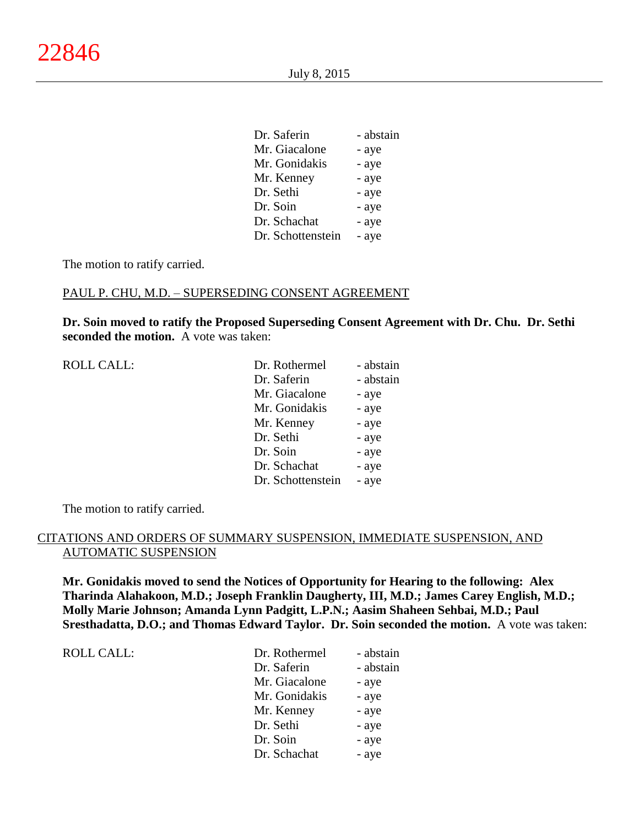| Dr. Saferin       | - abstain |
|-------------------|-----------|
| Mr. Giacalone     | - aye     |
| Mr. Gonidakis     | - aye     |
| Mr. Kenney        | - aye     |
| Dr. Sethi         | - aye     |
| Dr. Soin          | - aye     |
| Dr. Schachat      | - aye     |
| Dr. Schottenstein | - aye     |

The motion to ratify carried.

## PAUL P. CHU, M.D. – SUPERSEDING CONSENT AGREEMENT

**Dr. Soin moved to ratify the Proposed Superseding Consent Agreement with Dr. Chu. Dr. Sethi seconded the motion.** A vote was taken:

| Dr. Rothermel     | - abstain |
|-------------------|-----------|
| Dr. Saferin       | - abstain |
| Mr. Giacalone     | - aye     |
| Mr. Gonidakis     | - aye     |
| Mr. Kenney        | - aye     |
| Dr. Sethi         | - aye     |
| Dr. Soin          | - aye     |
| Dr. Schachat      | - aye     |
| Dr. Schottenstein | - aye     |
|                   |           |

The motion to ratify carried.

## CITATIONS AND ORDERS OF SUMMARY SUSPENSION, IMMEDIATE SUSPENSION, AND AUTOMATIC SUSPENSION

**Mr. Gonidakis moved to send the Notices of Opportunity for Hearing to the following: Alex Tharinda Alahakoon, M.D.; Joseph Franklin Daugherty, III, M.D.; James Carey English, M.D.; Molly Marie Johnson; Amanda Lynn Padgitt, L.P.N.; Aasim Shaheen Sehbai, M.D.; Paul Sresthadatta, D.O.; and Thomas Edward Taylor. Dr. Soin seconded the motion.** A vote was taken:

ROLL CALL:  $\Box$ 

| Dr. Rothermel | - abstain |
|---------------|-----------|
| Dr. Saferin   | - abstain |
| Mr. Giacalone | - aye     |
| Mr. Gonidakis | - aye     |
| Mr. Kenney    | - aye     |
| Dr. Sethi     | - aye     |
| Dr. Soin      | - aye     |
| Dr. Schachat  | - aye     |
|               |           |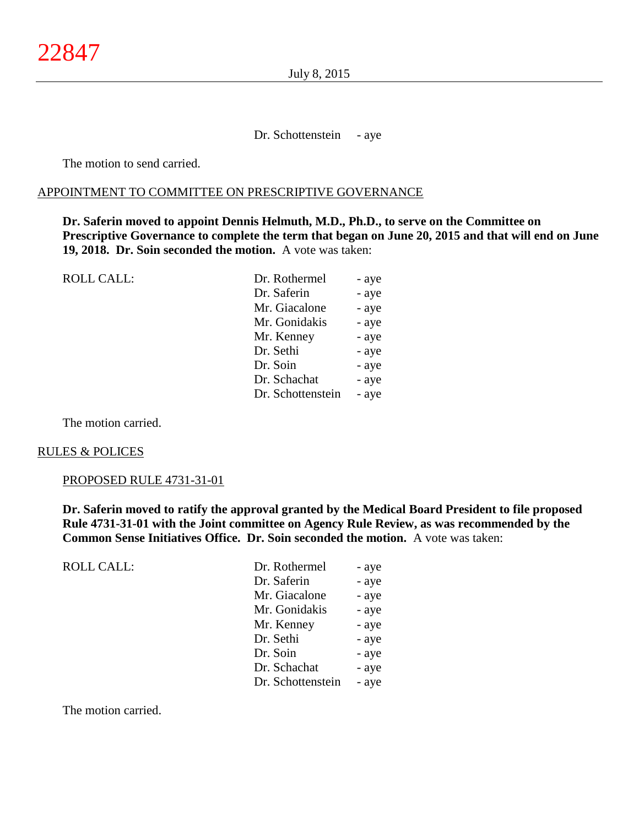Dr. Schottenstein - aye

The motion to send carried.

#### APPOINTMENT TO COMMITTEE ON PRESCRIPTIVE GOVERNANCE

**Dr. Saferin moved to appoint Dennis Helmuth, M.D., Ph.D., to serve on the Committee on Prescriptive Governance to complete the term that began on June 20, 2015 and that will end on June 19, 2018. Dr. Soin seconded the motion.** A vote was taken:

| <b>ROLL CALL:</b> | Dr. Rothermel     | - aye |
|-------------------|-------------------|-------|
|                   | Dr. Saferin       | - aye |
|                   | Mr. Giacalone     | - aye |
|                   | Mr. Gonidakis     | - aye |
|                   | Mr. Kenney        | - aye |
|                   | Dr. Sethi         | - aye |
|                   | Dr. Soin          | - aye |
|                   | Dr. Schachat      | - aye |
|                   | Dr. Schottenstein | - aye |
|                   |                   |       |

The motion carried.

#### RULES & POLICES

## PROPOSED RULE 4731-31-01

**Dr. Saferin moved to ratify the approval granted by the Medical Board President to file proposed Rule 4731-31-01 with the Joint committee on Agency Rule Review, as was recommended by the Common Sense Initiatives Office. Dr. Soin seconded the motion.** A vote was taken:

ROLL CALL:

| Dr. Rothermel     | - aye |
|-------------------|-------|
| Dr. Saferin       | - aye |
| Mr. Giacalone     | - aye |
| Mr. Gonidakis     | - aye |
| Mr. Kenney        | - aye |
| Dr. Sethi         | - aye |
| Dr. Soin          | - aye |
| Dr. Schachat      | - aye |
| Dr. Schottenstein | - aye |

The motion carried.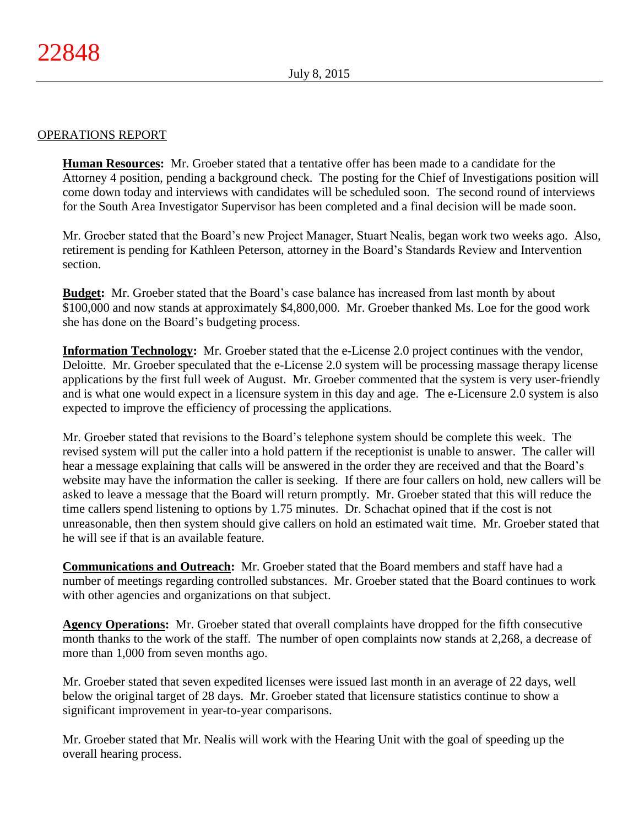# OPERATIONS REPORT

**Human Resources:** Mr. Groeber stated that a tentative offer has been made to a candidate for the Attorney 4 position, pending a background check. The posting for the Chief of Investigations position will come down today and interviews with candidates will be scheduled soon. The second round of interviews for the South Area Investigator Supervisor has been completed and a final decision will be made soon.

Mr. Groeber stated that the Board's new Project Manager, Stuart Nealis, began work two weeks ago. Also, retirement is pending for Kathleen Peterson, attorney in the Board's Standards Review and Intervention section.

**Budget:** Mr. Groeber stated that the Board's case balance has increased from last month by about \$100,000 and now stands at approximately \$4,800,000. Mr. Groeber thanked Ms. Loe for the good work she has done on the Board's budgeting process.

**Information Technology:** Mr. Groeber stated that the e-License 2.0 project continues with the vendor, Deloitte. Mr. Groeber speculated that the e-License 2.0 system will be processing massage therapy license applications by the first full week of August. Mr. Groeber commented that the system is very user-friendly and is what one would expect in a licensure system in this day and age. The e-Licensure 2.0 system is also expected to improve the efficiency of processing the applications.

Mr. Groeber stated that revisions to the Board's telephone system should be complete this week. The revised system will put the caller into a hold pattern if the receptionist is unable to answer. The caller will hear a message explaining that calls will be answered in the order they are received and that the Board's website may have the information the caller is seeking. If there are four callers on hold, new callers will be asked to leave a message that the Board will return promptly. Mr. Groeber stated that this will reduce the time callers spend listening to options by 1.75 minutes. Dr. Schachat opined that if the cost is not unreasonable, then then system should give callers on hold an estimated wait time. Mr. Groeber stated that he will see if that is an available feature.

**Communications and Outreach:** Mr. Groeber stated that the Board members and staff have had a number of meetings regarding controlled substances. Mr. Groeber stated that the Board continues to work with other agencies and organizations on that subject.

**Agency Operations:** Mr. Groeber stated that overall complaints have dropped for the fifth consecutive month thanks to the work of the staff. The number of open complaints now stands at 2,268, a decrease of more than 1,000 from seven months ago.

Mr. Groeber stated that seven expedited licenses were issued last month in an average of 22 days, well below the original target of 28 days. Mr. Groeber stated that licensure statistics continue to show a significant improvement in year-to-year comparisons.

Mr. Groeber stated that Mr. Nealis will work with the Hearing Unit with the goal of speeding up the overall hearing process.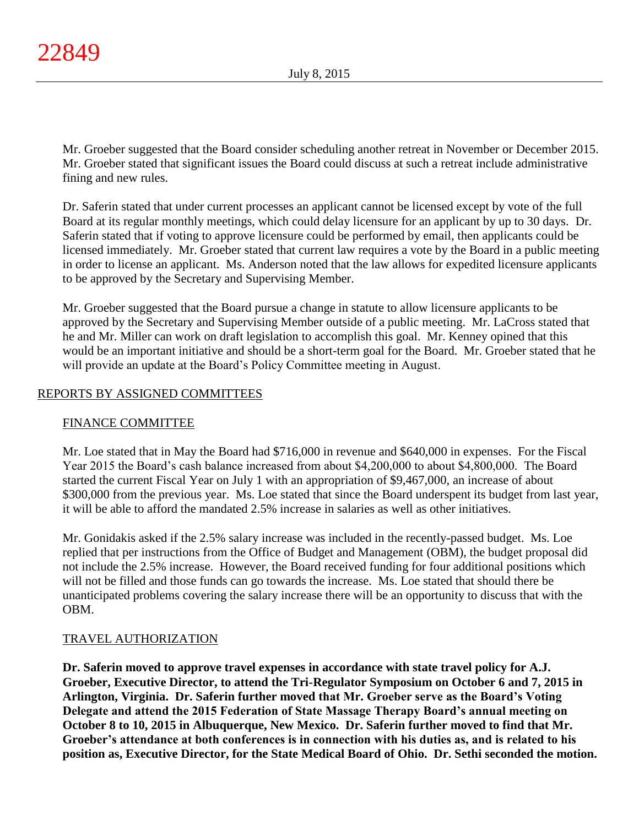Mr. Groeber suggested that the Board consider scheduling another retreat in November or December 2015. Mr. Groeber stated that significant issues the Board could discuss at such a retreat include administrative fining and new rules.

Dr. Saferin stated that under current processes an applicant cannot be licensed except by vote of the full Board at its regular monthly meetings, which could delay licensure for an applicant by up to 30 days. Dr. Saferin stated that if voting to approve licensure could be performed by email, then applicants could be licensed immediately. Mr. Groeber stated that current law requires a vote by the Board in a public meeting in order to license an applicant. Ms. Anderson noted that the law allows for expedited licensure applicants to be approved by the Secretary and Supervising Member.

Mr. Groeber suggested that the Board pursue a change in statute to allow licensure applicants to be approved by the Secretary and Supervising Member outside of a public meeting. Mr. LaCross stated that he and Mr. Miller can work on draft legislation to accomplish this goal. Mr. Kenney opined that this would be an important initiative and should be a short-term goal for the Board. Mr. Groeber stated that he will provide an update at the Board's Policy Committee meeting in August.

# REPORTS BY ASSIGNED COMMITTEES

# FINANCE COMMITTEE

Mr. Loe stated that in May the Board had \$716,000 in revenue and \$640,000 in expenses. For the Fiscal Year 2015 the Board's cash balance increased from about \$4,200,000 to about \$4,800,000. The Board started the current Fiscal Year on July 1 with an appropriation of \$9,467,000, an increase of about \$300,000 from the previous year. Ms. Loe stated that since the Board underspent its budget from last year, it will be able to afford the mandated 2.5% increase in salaries as well as other initiatives.

Mr. Gonidakis asked if the 2.5% salary increase was included in the recently-passed budget. Ms. Loe replied that per instructions from the Office of Budget and Management (OBM), the budget proposal did not include the 2.5% increase. However, the Board received funding for four additional positions which will not be filled and those funds can go towards the increase. Ms. Loe stated that should there be unanticipated problems covering the salary increase there will be an opportunity to discuss that with the OBM.

# TRAVEL AUTHORIZATION

**Dr. Saferin moved to approve travel expenses in accordance with state travel policy for A.J. Groeber, Executive Director, to attend the Tri-Regulator Symposium on October 6 and 7, 2015 in Arlington, Virginia. Dr. Saferin further moved that Mr. Groeber serve as the Board's Voting Delegate and attend the 2015 Federation of State Massage Therapy Board's annual meeting on October 8 to 10, 2015 in Albuquerque, New Mexico. Dr. Saferin further moved to find that Mr. Groeber's attendance at both conferences is in connection with his duties as, and is related to his position as, Executive Director, for the State Medical Board of Ohio. Dr. Sethi seconded the motion.**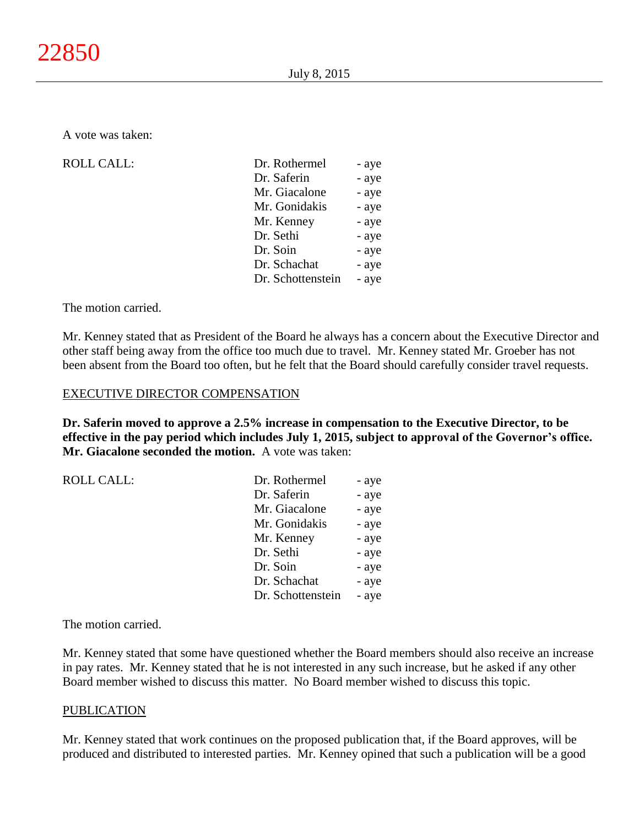A vote was taken:

 $ROLL CALL$ :

| Dr. Rothermel     | - aye |
|-------------------|-------|
| Dr. Saferin       | - aye |
| Mr. Giacalone     | - aye |
| Mr. Gonidakis     | - aye |
| Mr. Kenney        | - aye |
| Dr. Sethi         | - aye |
| Dr. Soin          | - aye |
| Dr. Schachat      | - aye |
| Dr. Schottenstein | - aye |
|                   |       |

The motion carried.

Mr. Kenney stated that as President of the Board he always has a concern about the Executive Director and other staff being away from the office too much due to travel. Mr. Kenney stated Mr. Groeber has not been absent from the Board too often, but he felt that the Board should carefully consider travel requests.

## EXECUTIVE DIRECTOR COMPENSATION

**Dr. Saferin moved to approve a 2.5% increase in compensation to the Executive Director, to be effective in the pay period which includes July 1, 2015, subject to approval of the Governor's office. Mr. Giacalone seconded the motion.** A vote was taken:

| <b>ROLL CALL:</b> | Dr. Rothermel     | - aye |
|-------------------|-------------------|-------|
|                   | Dr. Saferin       | - aye |
|                   | Mr. Giacalone     | - aye |
|                   | Mr. Gonidakis     | - aye |
|                   | Mr. Kenney        | - aye |
|                   | Dr. Sethi         | - aye |
|                   | Dr. Soin          | - aye |
|                   | Dr. Schachat      | - aye |
|                   | Dr. Schottenstein | - aye |

The motion carried.

Mr. Kenney stated that some have questioned whether the Board members should also receive an increase in pay rates. Mr. Kenney stated that he is not interested in any such increase, but he asked if any other Board member wished to discuss this matter. No Board member wished to discuss this topic.

## **PUBLICATION**

Mr. Kenney stated that work continues on the proposed publication that, if the Board approves, will be produced and distributed to interested parties. Mr. Kenney opined that such a publication will be a good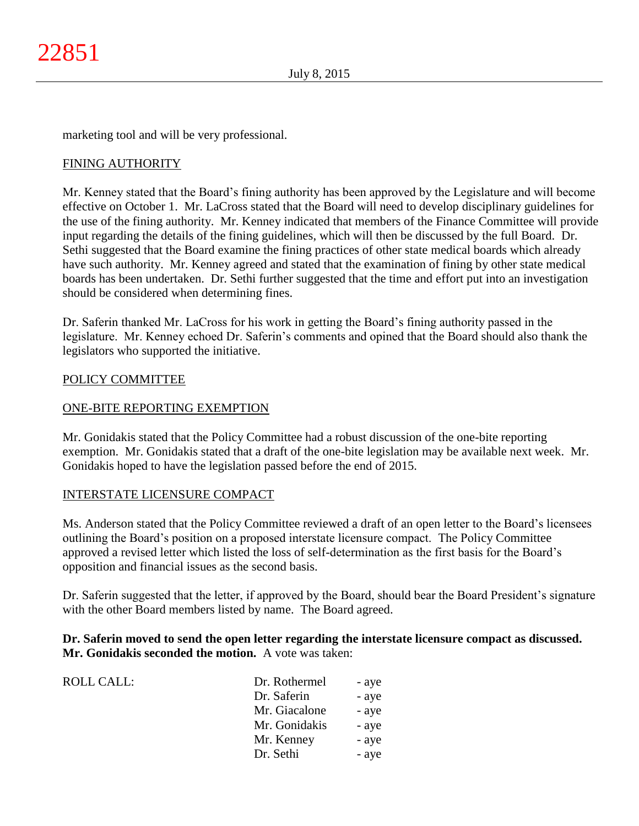marketing tool and will be very professional.

# FINING AUTHORITY

Mr. Kenney stated that the Board's fining authority has been approved by the Legislature and will become effective on October 1. Mr. LaCross stated that the Board will need to develop disciplinary guidelines for the use of the fining authority. Mr. Kenney indicated that members of the Finance Committee will provide input regarding the details of the fining guidelines, which will then be discussed by the full Board. Dr. Sethi suggested that the Board examine the fining practices of other state medical boards which already have such authority. Mr. Kenney agreed and stated that the examination of fining by other state medical boards has been undertaken. Dr. Sethi further suggested that the time and effort put into an investigation should be considered when determining fines.

Dr. Saferin thanked Mr. LaCross for his work in getting the Board's fining authority passed in the legislature. Mr. Kenney echoed Dr. Saferin's comments and opined that the Board should also thank the legislators who supported the initiative.

# POLICY COMMITTEE

# ONE-BITE REPORTING EXEMPTION

Mr. Gonidakis stated that the Policy Committee had a robust discussion of the one-bite reporting exemption. Mr. Gonidakis stated that a draft of the one-bite legislation may be available next week. Mr. Gonidakis hoped to have the legislation passed before the end of 2015.

# INTERSTATE LICENSURE COMPACT

Ms. Anderson stated that the Policy Committee reviewed a draft of an open letter to the Board's licensees outlining the Board's position on a proposed interstate licensure compact. The Policy Committee approved a revised letter which listed the loss of self-determination as the first basis for the Board's opposition and financial issues as the second basis.

Dr. Saferin suggested that the letter, if approved by the Board, should bear the Board President's signature with the other Board members listed by name. The Board agreed.

# **Dr. Saferin moved to send the open letter regarding the interstate licensure compact as discussed. Mr. Gonidakis seconded the motion.** A vote was taken:

| <b>ROLL CALL:</b> | Dr. Rothermel | - aye |
|-------------------|---------------|-------|
|                   | Dr. Saferin   | - aye |
|                   | Mr. Giacalone | - aye |
|                   | Mr. Gonidakis | - aye |
|                   | Mr. Kenney    | - aye |
|                   | Dr. Sethi     | - aye |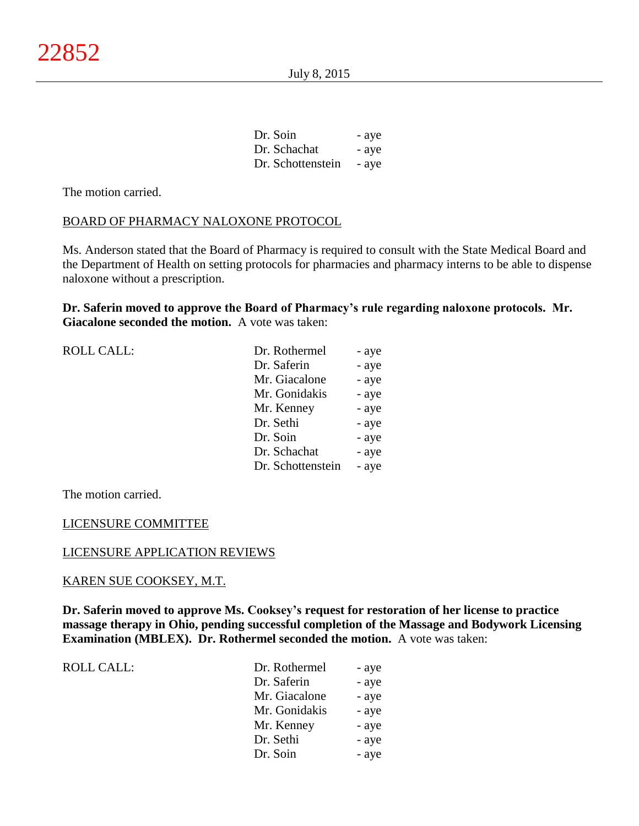| Dr. Soin          | - aye |
|-------------------|-------|
| Dr. Schachat      | - aye |
| Dr. Schottenstein | - aye |

The motion carried.

# BOARD OF PHARMACY NALOXONE PROTOCOL

Ms. Anderson stated that the Board of Pharmacy is required to consult with the State Medical Board and the Department of Health on setting protocols for pharmacies and pharmacy interns to be able to dispense naloxone without a prescription.

**Dr. Saferin moved to approve the Board of Pharmacy's rule regarding naloxone protocols. Mr. Giacalone seconded the motion.** A vote was taken:

| <b>ROLL CALL:</b> |  |
|-------------------|--|
|-------------------|--|

| <b>ROLL CALL:</b> | Dr. Rothermel     | - aye |
|-------------------|-------------------|-------|
|                   | Dr. Saferin       | - aye |
|                   | Mr. Giacalone     | - aye |
|                   | Mr. Gonidakis     | - aye |
|                   | Mr. Kenney        | - aye |
|                   | Dr. Sethi         | - aye |
|                   | Dr. Soin          | - aye |
|                   | Dr. Schachat      | - aye |
|                   | Dr. Schottenstein | - aye |

The motion carried.

# LICENSURE COMMITTEE

## LICENSURE APPLICATION REVIEWS

## KAREN SUE COOKSEY, M.T.

**Dr. Saferin moved to approve Ms. Cooksey's request for restoration of her license to practice massage therapy in Ohio, pending successful completion of the Massage and Bodywork Licensing Examination (MBLEX). Dr. Rothermel seconded the motion.** A vote was taken:

ROLL CALL:

| Dr. Rothermel | - aye |
|---------------|-------|
| Dr. Saferin   | - aye |
| Mr. Giacalone | - aye |
| Mr. Gonidakis | - aye |
| Mr. Kenney    | - aye |
| Dr. Sethi     | - aye |
| Dr. Soin      | - aye |
|               |       |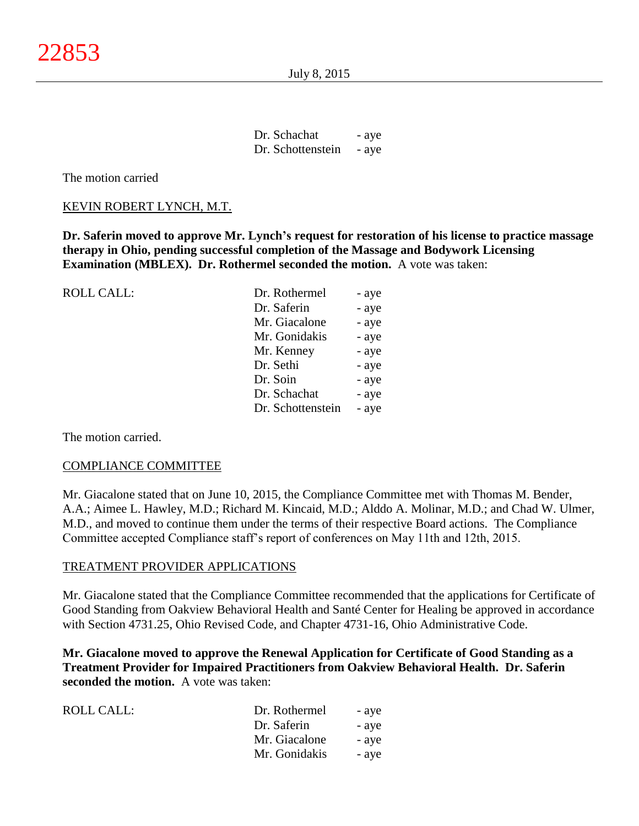July 8, 2015

| Dr. Schachat      | - aye |
|-------------------|-------|
| Dr. Schottenstein | - aye |

The motion carried

# KEVIN ROBERT LYNCH, M.T.

**Dr. Saferin moved to approve Mr. Lynch's request for restoration of his license to practice massage therapy in Ohio, pending successful completion of the Massage and Bodywork Licensing Examination (MBLEX). Dr. Rothermel seconded the motion.** A vote was taken:

ROLL CALL:

| Dr. Rothermel     | - aye |
|-------------------|-------|
| Dr. Saferin       | - aye |
| Mr. Giacalone     | - aye |
| Mr. Gonidakis     | - aye |
| Mr. Kenney        | - aye |
| Dr. Sethi         | - aye |
| Dr. Soin          | - aye |
| Dr. Schachat      | - aye |
| Dr. Schottenstein | - aye |

The motion carried.

## COMPLIANCE COMMITTEE

Mr. Giacalone stated that on June 10, 2015, the Compliance Committee met with Thomas M. Bender, A.A.; Aimee L. Hawley, M.D.; Richard M. Kincaid, M.D.; Alddo A. Molinar, M.D.; and Chad W. Ulmer, M.D., and moved to continue them under the terms of their respective Board actions. The Compliance Committee accepted Compliance staff's report of conferences on May 11th and 12th, 2015.

## TREATMENT PROVIDER APPLICATIONS

Mr. Giacalone stated that the Compliance Committee recommended that the applications for Certificate of Good Standing from Oakview Behavioral Health and Santé Center for Healing be approved in accordance with Section 4731.25, Ohio Revised Code, and Chapter 4731-16, Ohio Administrative Code.

**Mr. Giacalone moved to approve the Renewal Application for Certificate of Good Standing as a Treatment Provider for Impaired Practitioners from Oakview Behavioral Health. Dr. Saferin seconded the motion.** A vote was taken:

| ROLL CALL: | Dr. Rothermel | - aye |
|------------|---------------|-------|
|            | Dr. Saferin   | - aye |
|            | Mr. Giacalone | - aye |
|            | Mr. Gonidakis | - aye |
|            |               |       |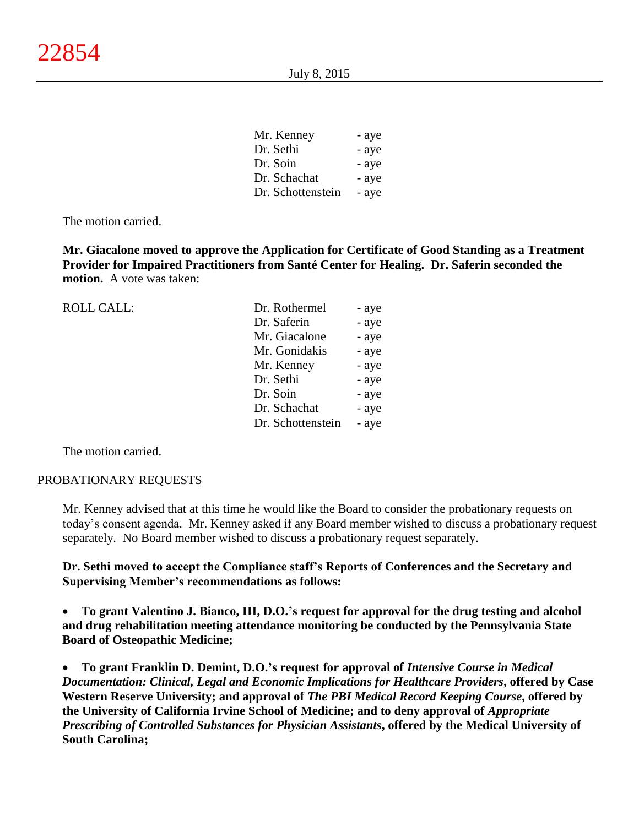| Mr. Kenney        | - aye |
|-------------------|-------|
| Dr. Sethi         | - aye |
| Dr. Soin          | - aye |
| Dr. Schachat      | - aye |
| Dr. Schottenstein | - aye |

The motion carried.

**Mr. Giacalone moved to approve the Application for Certificate of Good Standing as a Treatment Provider for Impaired Practitioners from Santé Center for Healing. Dr. Saferin seconded the motion.** A vote was taken:

| <b>ROLL CALL:</b> | Dr. Rothermel     | - aye |
|-------------------|-------------------|-------|
|                   | Dr. Saferin       | - aye |
|                   | Mr. Giacalone     | - aye |
|                   | Mr. Gonidakis     | - aye |
|                   | Mr. Kenney        | - aye |
|                   | Dr. Sethi         | - aye |
|                   | Dr. Soin          | - aye |
|                   | Dr. Schachat      | - aye |
|                   | Dr. Schottenstein | - aye |
|                   |                   |       |

The motion carried.

#### PROBATIONARY REQUESTS

Mr. Kenney advised that at this time he would like the Board to consider the probationary requests on today's consent agenda. Mr. Kenney asked if any Board member wished to discuss a probationary request separately. No Board member wished to discuss a probationary request separately.

**Dr. Sethi moved to accept the Compliance staff's Reports of Conferences and the Secretary and Supervising Member's recommendations as follows:**

 **To grant Valentino J. Bianco, III, D.O.'s request for approval for the drug testing and alcohol and drug rehabilitation meeting attendance monitoring be conducted by the Pennsylvania State Board of Osteopathic Medicine;**

 **To grant Franklin D. Demint, D.O.'s request for approval of** *Intensive Course in Medical Documentation: Clinical, Legal and Economic Implications for Healthcare Providers***, offered by Case Western Reserve University; and approval of** *The PBI Medical Record Keeping Course***, offered by the University of California Irvine School of Medicine; and to deny approval of** *Appropriate Prescribing of Controlled Substances for Physician Assistants***, offered by the Medical University of South Carolina;**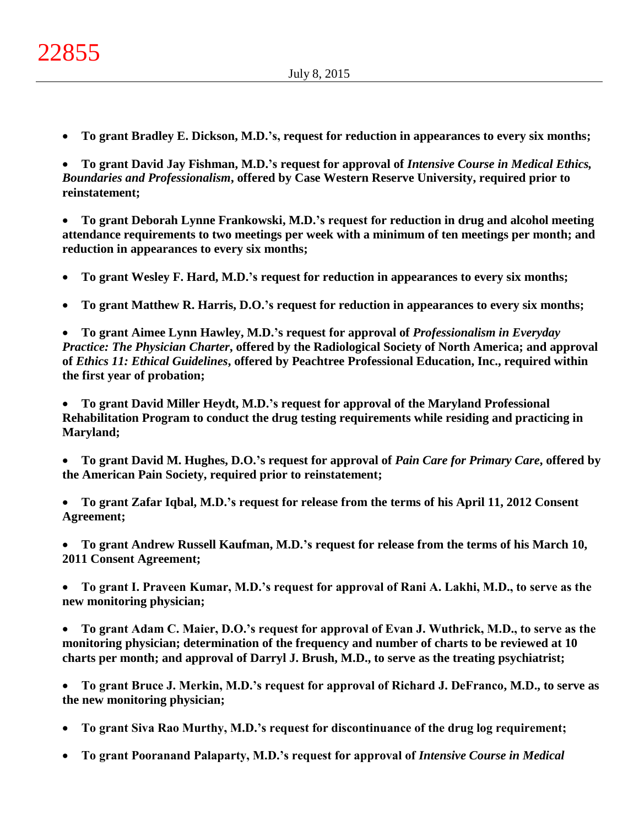**To grant Bradley E. Dickson, M.D.'s, request for reduction in appearances to every six months;**

 **To grant David Jay Fishman, M.D.'s request for approval of** *Intensive Course in Medical Ethics, Boundaries and Professionalism***, offered by Case Western Reserve University, required prior to reinstatement;**

 **To grant Deborah Lynne Frankowski, M.D.'s request for reduction in drug and alcohol meeting attendance requirements to two meetings per week with a minimum of ten meetings per month; and reduction in appearances to every six months;**

- **To grant Wesley F. Hard, M.D.'s request for reduction in appearances to every six months;**
- **To grant Matthew R. Harris, D.O.'s request for reduction in appearances to every six months;**

 **To grant Aimee Lynn Hawley, M.D.'s request for approval of** *Professionalism in Everyday Practice: The Physician Charter***, offered by the Radiological Society of North America; and approval of** *Ethics 11: Ethical Guidelines***, offered by Peachtree Professional Education, Inc., required within the first year of probation;**

 **To grant David Miller Heydt, M.D.'s request for approval of the Maryland Professional Rehabilitation Program to conduct the drug testing requirements while residing and practicing in Maryland;**

 **To grant David M. Hughes, D.O.'s request for approval of** *Pain Care for Primary Care***, offered by the American Pain Society, required prior to reinstatement;**

 **To grant Zafar Iqbal, M.D.'s request for release from the terms of his April 11, 2012 Consent Agreement;**

 **To grant Andrew Russell Kaufman, M.D.'s request for release from the terms of his March 10, 2011 Consent Agreement;**

 **To grant I. Praveen Kumar, M.D.'s request for approval of Rani A. Lakhi, M.D., to serve as the new monitoring physician;**

 **To grant Adam C. Maier, D.O.'s request for approval of Evan J. Wuthrick, M.D., to serve as the monitoring physician; determination of the frequency and number of charts to be reviewed at 10 charts per month; and approval of Darryl J. Brush, M.D., to serve as the treating psychiatrist;**

 **To grant Bruce J. Merkin, M.D.'s request for approval of Richard J. DeFranco, M.D., to serve as the new monitoring physician;**

**To grant Siva Rao Murthy, M.D.'s request for discontinuance of the drug log requirement;**

**To grant Pooranand Palaparty, M.D.'s request for approval of** *Intensive Course in Medical*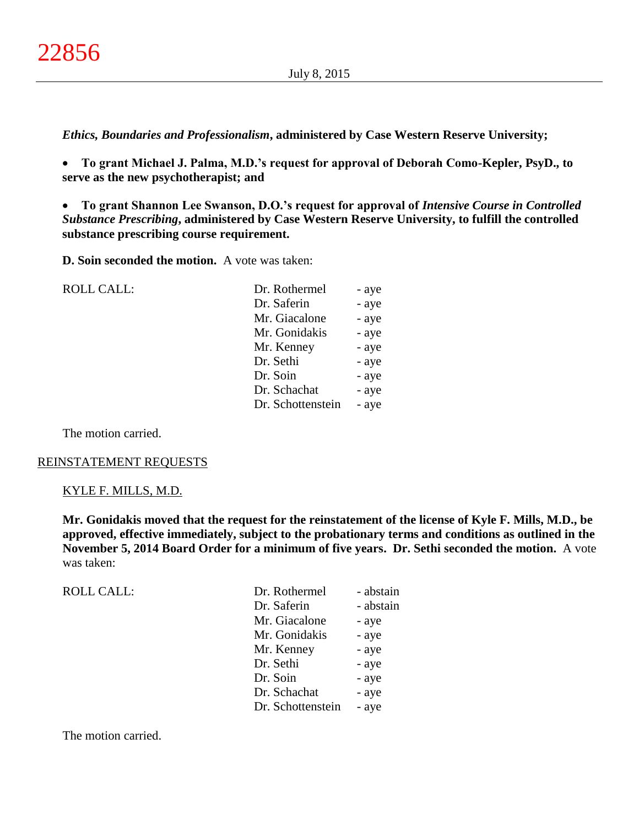*Ethics, Boundaries and Professionalism***, administered by Case Western Reserve University;**

 **To grant Michael J. Palma, M.D.'s request for approval of Deborah Como-Kepler, PsyD., to serve as the new psychotherapist; and**

 **To grant Shannon Lee Swanson, D.O.'s request for approval of** *Intensive Course in Controlled Substance Prescribing***, administered by Case Western Reserve University, to fulfill the controlled substance prescribing course requirement.**

**D. Soin seconded the motion.** A vote was taken:

ROLL CALL:

| Dr. Rothermel     | - aye |
|-------------------|-------|
| Dr. Saferin       | - aye |
| Mr. Giacalone     | - aye |
| Mr. Gonidakis     | - aye |
| Mr. Kenney        | - aye |
| Dr. Sethi         | - aye |
| Dr. Soin          | - aye |
| Dr. Schachat      | - aye |
| Dr. Schottenstein | - aye |
|                   |       |

The motion carried.

# REINSTATEMENT REQUESTS

## KYLE F. MILLS, M.D.

**Mr. Gonidakis moved that the request for the reinstatement of the license of Kyle F. Mills, M.D., be approved, effective immediately, subject to the probationary terms and conditions as outlined in the November 5, 2014 Board Order for a minimum of five years. Dr. Sethi seconded the motion.** A vote was taken:

| <b>ROLL CALL:</b> | Dr. Rothermel     | - abstain |
|-------------------|-------------------|-----------|
|                   | Dr. Saferin       | - abstain |
|                   | Mr. Giacalone     | - aye     |
|                   | Mr. Gonidakis     | - aye     |
|                   | Mr. Kenney        | - aye     |
|                   | Dr. Sethi         | - aye     |
|                   | Dr. Soin          | - aye     |
|                   | Dr. Schachat      | - aye     |
|                   | Dr. Schottenstein | - aye     |
|                   |                   |           |

The motion carried.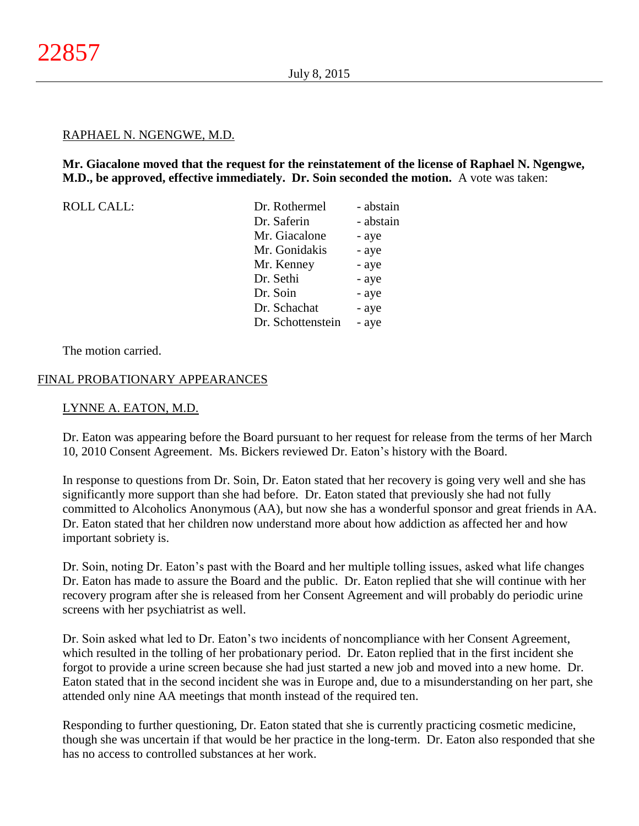## RAPHAEL N. NGENGWE, M.D.

# **Mr. Giacalone moved that the request for the reinstatement of the license of Raphael N. Ngengwe, M.D., be approved, effective immediately. Dr. Soin seconded the motion.** A vote was taken:

| <b>ROLL CALL:</b> | Dr. Rothermel     | - abstain |
|-------------------|-------------------|-----------|
|                   | Dr. Saferin       | - abstain |
|                   | Mr. Giacalone     | - aye     |
|                   | Mr. Gonidakis     | - aye     |
|                   | Mr. Kenney        | - aye     |
|                   | Dr. Sethi         | - aye     |
|                   | Dr. Soin          | - aye     |
|                   | Dr. Schachat      | - aye     |
|                   | Dr. Schottenstein | - aye     |

The motion carried.

## FINAL PROBATIONARY APPEARANCES

## LYNNE A. EATON, M.D.

Dr. Eaton was appearing before the Board pursuant to her request for release from the terms of her March 10, 2010 Consent Agreement. Ms. Bickers reviewed Dr. Eaton's history with the Board.

In response to questions from Dr. Soin, Dr. Eaton stated that her recovery is going very well and she has significantly more support than she had before. Dr. Eaton stated that previously she had not fully committed to Alcoholics Anonymous (AA), but now she has a wonderful sponsor and great friends in AA. Dr. Eaton stated that her children now understand more about how addiction as affected her and how important sobriety is.

Dr. Soin, noting Dr. Eaton's past with the Board and her multiple tolling issues, asked what life changes Dr. Eaton has made to assure the Board and the public. Dr. Eaton replied that she will continue with her recovery program after she is released from her Consent Agreement and will probably do periodic urine screens with her psychiatrist as well.

Dr. Soin asked what led to Dr. Eaton's two incidents of noncompliance with her Consent Agreement, which resulted in the tolling of her probationary period. Dr. Eaton replied that in the first incident she forgot to provide a urine screen because she had just started a new job and moved into a new home. Dr. Eaton stated that in the second incident she was in Europe and, due to a misunderstanding on her part, she attended only nine AA meetings that month instead of the required ten.

Responding to further questioning, Dr. Eaton stated that she is currently practicing cosmetic medicine, though she was uncertain if that would be her practice in the long-term. Dr. Eaton also responded that she has no access to controlled substances at her work.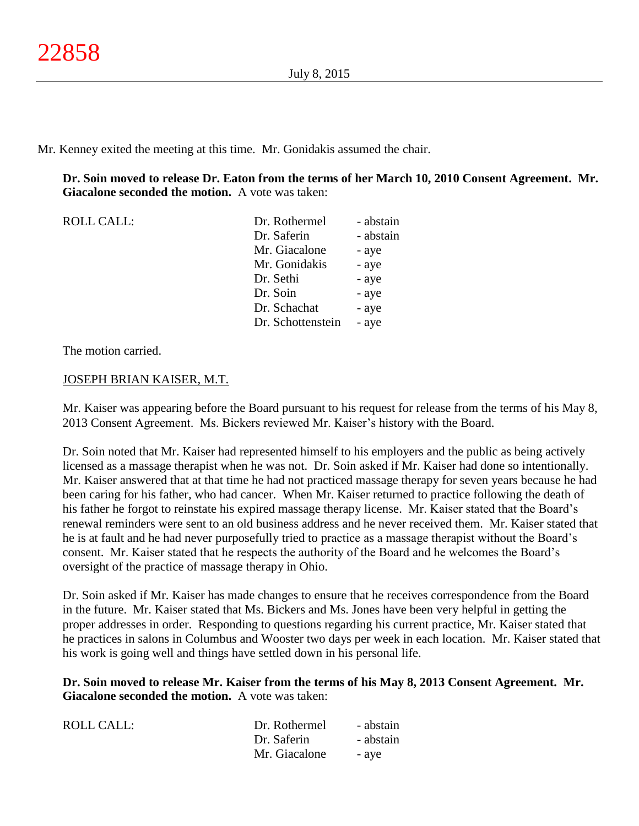Mr. Kenney exited the meeting at this time. Mr. Gonidakis assumed the chair.

**Dr. Soin moved to release Dr. Eaton from the terms of her March 10, 2010 Consent Agreement. Mr. Giacalone seconded the motion.** A vote was taken:

| <b>ROLL CALL:</b> | Dr. Rothermel     | - abstain |
|-------------------|-------------------|-----------|
|                   | Dr. Saferin       | - abstain |
|                   | Mr. Giacalone     | - aye     |
|                   | Mr. Gonidakis     | - aye     |
|                   | Dr. Sethi         | - aye     |
|                   | Dr. Soin          | - aye     |
|                   | Dr. Schachat      | - aye     |
|                   | Dr. Schottenstein | - aye     |

The motion carried.

# JOSEPH BRIAN KAISER, M.T.

Mr. Kaiser was appearing before the Board pursuant to his request for release from the terms of his May 8, 2013 Consent Agreement. Ms. Bickers reviewed Mr. Kaiser's history with the Board.

Dr. Soin noted that Mr. Kaiser had represented himself to his employers and the public as being actively licensed as a massage therapist when he was not. Dr. Soin asked if Mr. Kaiser had done so intentionally. Mr. Kaiser answered that at that time he had not practiced massage therapy for seven years because he had been caring for his father, who had cancer. When Mr. Kaiser returned to practice following the death of his father he forgot to reinstate his expired massage therapy license. Mr. Kaiser stated that the Board's renewal reminders were sent to an old business address and he never received them. Mr. Kaiser stated that he is at fault and he had never purposefully tried to practice as a massage therapist without the Board's consent. Mr. Kaiser stated that he respects the authority of the Board and he welcomes the Board's oversight of the practice of massage therapy in Ohio.

Dr. Soin asked if Mr. Kaiser has made changes to ensure that he receives correspondence from the Board in the future. Mr. Kaiser stated that Ms. Bickers and Ms. Jones have been very helpful in getting the proper addresses in order. Responding to questions regarding his current practice, Mr. Kaiser stated that he practices in salons in Columbus and Wooster two days per week in each location. Mr. Kaiser stated that his work is going well and things have settled down in his personal life.

**Dr. Soin moved to release Mr. Kaiser from the terms of his May 8, 2013 Consent Agreement. Mr. Giacalone seconded the motion.** A vote was taken:

| ROLL CALL: | Dr. Rothermel | - abstain |
|------------|---------------|-----------|
|            | Dr. Saferin   | - abstain |
|            | Mr. Giacalone | - ave     |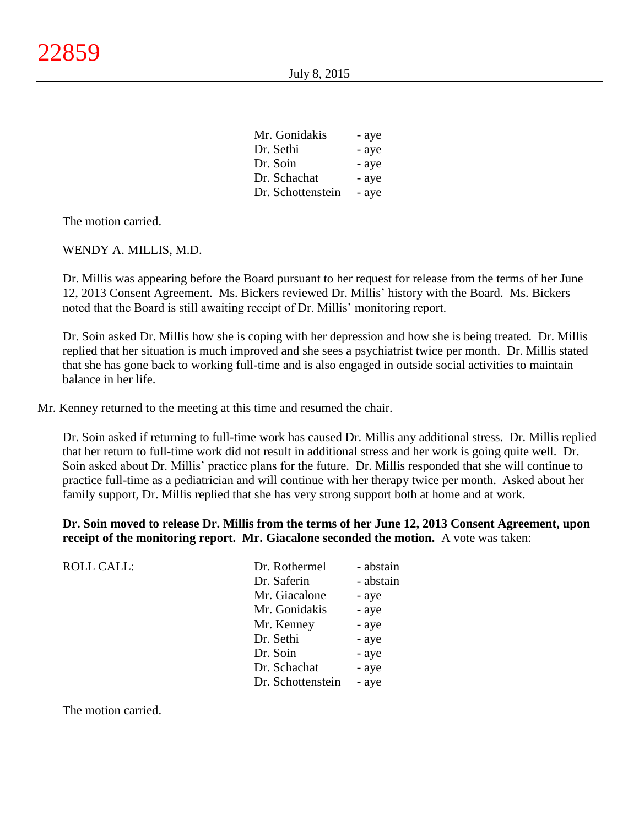| Mr. Gonidakis     | - aye |
|-------------------|-------|
| Dr. Sethi         | - aye |
| Dr. Soin          | - aye |
| Dr. Schachat      | - aye |
| Dr. Schottenstein | - ave |

The motion carried.

#### WENDY A. MILLIS, M.D.

Dr. Millis was appearing before the Board pursuant to her request for release from the terms of her June 12, 2013 Consent Agreement. Ms. Bickers reviewed Dr. Millis' history with the Board. Ms. Bickers noted that the Board is still awaiting receipt of Dr. Millis' monitoring report.

Dr. Soin asked Dr. Millis how she is coping with her depression and how she is being treated. Dr. Millis replied that her situation is much improved and she sees a psychiatrist twice per month. Dr. Millis stated that she has gone back to working full-time and is also engaged in outside social activities to maintain balance in her life.

Mr. Kenney returned to the meeting at this time and resumed the chair.

Dr. Soin asked if returning to full-time work has caused Dr. Millis any additional stress. Dr. Millis replied that her return to full-time work did not result in additional stress and her work is going quite well. Dr. Soin asked about Dr. Millis' practice plans for the future. Dr. Millis responded that she will continue to practice full-time as a pediatrician and will continue with her therapy twice per month. Asked about her family support, Dr. Millis replied that she has very strong support both at home and at work.

**Dr. Soin moved to release Dr. Millis from the terms of her June 12, 2013 Consent Agreement, upon receipt of the monitoring report. Mr. Giacalone seconded the motion.** A vote was taken:

| <b>ROLL CALL:</b> | Dr. Rothermel     | - abstain |
|-------------------|-------------------|-----------|
|                   | Dr. Saferin       | - abstain |
|                   | Mr. Giacalone     | - aye     |
|                   | Mr. Gonidakis     | - aye     |
|                   | Mr. Kenney        | - aye     |
|                   | Dr. Sethi         | - aye     |
|                   | Dr. Soin          | - aye     |
|                   | Dr. Schachat      | - aye     |
|                   | Dr. Schottenstein | - aye     |
|                   |                   |           |

The motion carried.